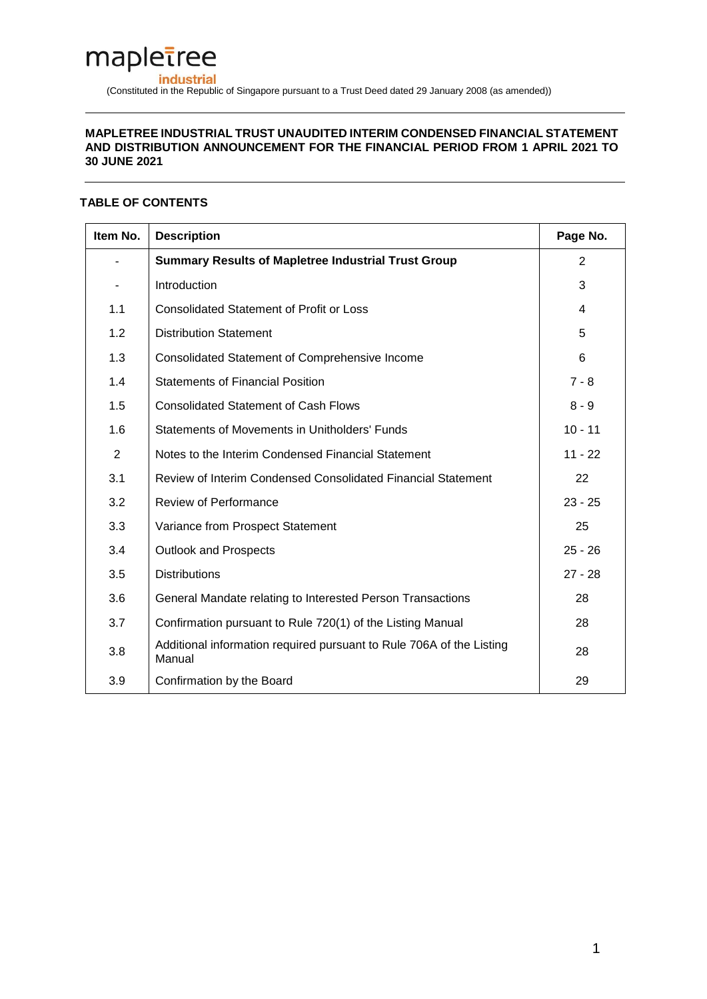# mapletree **industrial** (Constituted in the Republic of Singapore pursuant to a Trust Deed dated 29 January 2008 (as amended))

### **MAPLETREE INDUSTRIAL TRUST UNAUDITED INTERIM CONDENSED FINANCIAL STATEMENT AND DISTRIBUTION ANNOUNCEMENT FOR THE FINANCIAL PERIOD FROM 1 APRIL 2021 TO 30 JUNE 2021**

# **TABLE OF CONTENTS**

| Item No. | <b>Description</b>                                                             | Page No.  |
|----------|--------------------------------------------------------------------------------|-----------|
|          | <b>Summary Results of Mapletree Industrial Trust Group</b>                     | 2         |
|          | Introduction                                                                   | 3         |
| 1.1      | <b>Consolidated Statement of Profit or Loss</b>                                | 4         |
| 1.2      | <b>Distribution Statement</b>                                                  | 5         |
| 1.3      | <b>Consolidated Statement of Comprehensive Income</b>                          | 6         |
| 1.4      | <b>Statements of Financial Position</b>                                        | $7 - 8$   |
| 1.5      | <b>Consolidated Statement of Cash Flows</b>                                    | $8 - 9$   |
| 1.6      | Statements of Movements in Unitholders' Funds                                  | $10 - 11$ |
| 2        | Notes to the Interim Condensed Financial Statement                             | $11 - 22$ |
| 3.1      | Review of Interim Condensed Consolidated Financial Statement                   | 22        |
| 3.2      | Review of Performance                                                          | $23 - 25$ |
| 3.3      | Variance from Prospect Statement                                               | 25        |
| 3.4      | <b>Outlook and Prospects</b>                                                   | $25 - 26$ |
| 3.5      | <b>Distributions</b>                                                           | $27 - 28$ |
| 3.6      | General Mandate relating to Interested Person Transactions                     | 28        |
| 3.7      | Confirmation pursuant to Rule 720(1) of the Listing Manual                     | 28        |
| 3.8      | Additional information required pursuant to Rule 706A of the Listing<br>Manual | 28        |
| 3.9      | Confirmation by the Board                                                      | 29        |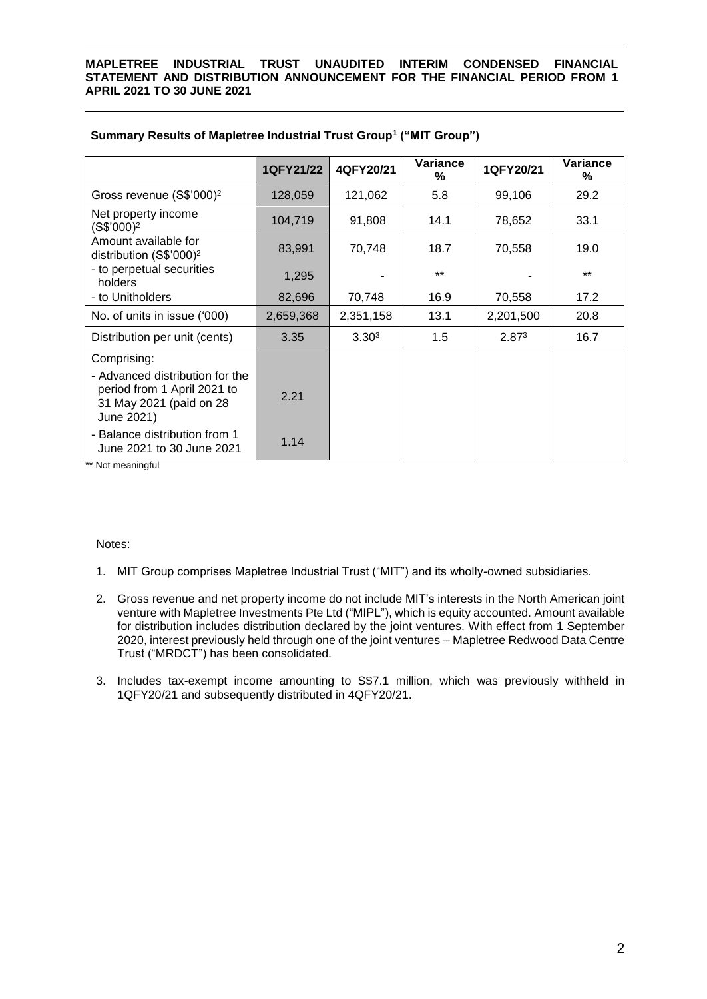|                                                                                                         | 1QFY21/22 | 4QFY20/21         | Variance<br>% | 1QFY20/21         | Variance<br>℅ |
|---------------------------------------------------------------------------------------------------------|-----------|-------------------|---------------|-------------------|---------------|
| Gross revenue (S\$'000) <sup>2</sup>                                                                    | 128,059   | 121,062           | 5.8           | 99,106            | 29.2          |
| Net property income<br>(S\$'000) <sup>2</sup>                                                           | 104,719   | 91,808            | 14.1          | 78,652            | 33.1          |
| Amount available for<br>distribution (S\$'000) <sup>2</sup>                                             | 83,991    | 70,748            | 18.7          | 70,558            | 19.0          |
| - to perpetual securities<br>holders                                                                    | 1,295     |                   | $***$         |                   | $***$         |
| - to Unitholders                                                                                        | 82,696    | 70,748            | 16.9          | 70,558            | 17.2          |
| No. of units in issue ('000)                                                                            | 2,659,368 | 2,351,158         | 13.1          | 2,201,500         | 20.8          |
| Distribution per unit (cents)                                                                           | 3.35      | 3.30 <sup>3</sup> | 1.5           | 2.87 <sup>3</sup> | 16.7          |
| Comprising:                                                                                             |           |                   |               |                   |               |
| - Advanced distribution for the<br>period from 1 April 2021 to<br>31 May 2021 (paid on 28<br>June 2021) | 2.21      |                   |               |                   |               |
| - Balance distribution from 1<br>June 2021 to 30 June 2021                                              | 1.14      |                   |               |                   |               |

# **Summary Results of Mapletree Industrial Trust Group<sup>1</sup> ("MIT Group")**

\*\* Not meaningful

# Notes:

- 1. MIT Group comprises Mapletree Industrial Trust ("MIT") and its wholly-owned subsidiaries.
- 2. Gross revenue and net property income do not include MIT's interests in the North American joint venture with Mapletree Investments Pte Ltd ("MIPL"), which is equity accounted. Amount available for distribution includes distribution declared by the joint ventures. With effect from 1 September 2020, interest previously held through one of the joint ventures – Mapletree Redwood Data Centre Trust ("MRDCT") has been consolidated.
- 3. Includes tax-exempt income amounting to S\$7.1 million, which was previously withheld in 1QFY20/21 and subsequently distributed in 4QFY20/21.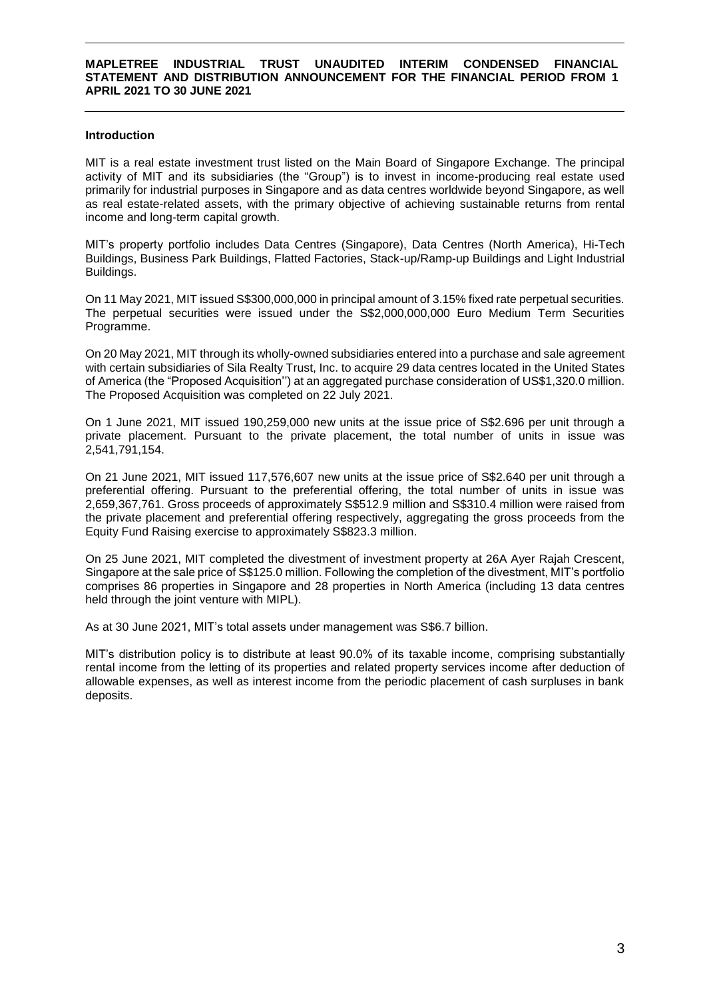### **Introduction**

MIT is a real estate investment trust listed on the Main Board of Singapore Exchange. The principal activity of MIT and its subsidiaries (the "Group") is to invest in income-producing real estate used primarily for industrial purposes in Singapore and as data centres worldwide beyond Singapore, as well as real estate-related assets, with the primary objective of achieving sustainable returns from rental income and long-term capital growth.

MIT's property portfolio includes Data Centres (Singapore), Data Centres (North America), Hi-Tech Buildings, Business Park Buildings, Flatted Factories, Stack-up/Ramp-up Buildings and Light Industrial Buildings.

On 11 May 2021, MIT issued S\$300,000,000 in principal amount of 3.15% fixed rate perpetual securities. The perpetual securities were issued under the S\$2,000,000,000 Euro Medium Term Securities Programme.

On 20 May 2021, MIT through its wholly-owned subsidiaries entered into a purchase and sale agreement with certain subsidiaries of Sila Realty Trust, Inc. to acquire 29 data centres located in the United States of America (the "Proposed Acquisition'') at an aggregated purchase consideration of US\$1,320.0 million. The Proposed Acquisition was completed on 22 July 2021.

On 1 June 2021, MIT issued 190,259,000 new units at the issue price of S\$2.696 per unit through a private placement. Pursuant to the private placement, the total number of units in issue was 2,541,791,154.

On 21 June 2021, MIT issued 117,576,607 new units at the issue price of S\$2.640 per unit through a preferential offering. Pursuant to the preferential offering, the total number of units in issue was 2,659,367,761. Gross proceeds of approximately S\$512.9 million and S\$310.4 million were raised from the private placement and preferential offering respectively, aggregating the gross proceeds from the Equity Fund Raising exercise to approximately S\$823.3 million.

On 25 June 2021, MIT completed the divestment of investment property at 26A Ayer Rajah Crescent, Singapore at the sale price of S\$125.0 million. Following the completion of the divestment, MIT's portfolio comprises 86 properties in Singapore and 28 properties in North America (including 13 data centres held through the joint venture with MIPL).

As at 30 June 2021, MIT's total assets under management was S\$6.7 billion.

MIT's distribution policy is to distribute at least 90.0% of its taxable income, comprising substantially rental income from the letting of its properties and related property services income after deduction of allowable expenses, as well as interest income from the periodic placement of cash surpluses in bank deposits.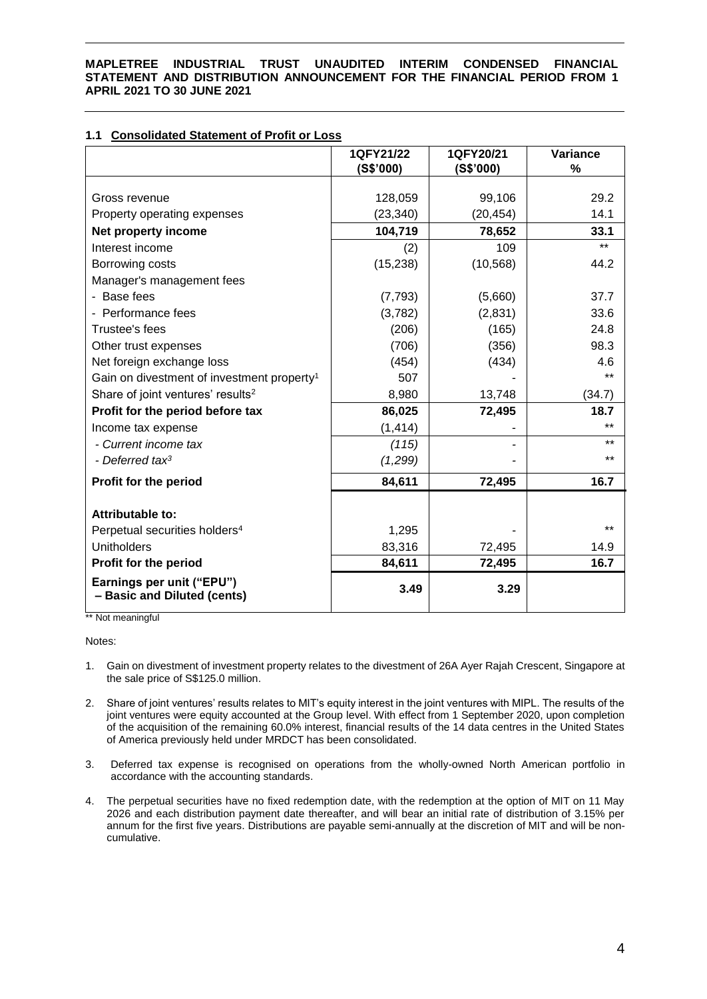# **1.1 Consolidated Statement of Profit or Loss**

|                                                          | 1QFY21/22<br>(S\$'000) | 1QFY20/21<br>(S\$'000) | Variance<br>$\frac{9}{6}$ |
|----------------------------------------------------------|------------------------|------------------------|---------------------------|
|                                                          |                        |                        |                           |
| Gross revenue                                            | 128,059                | 99,106                 | 29.2                      |
| Property operating expenses                              | (23, 340)              | (20, 454)              | 14.1                      |
| Net property income                                      | 104,719                | 78,652                 | 33.1                      |
| Interest income                                          | (2)                    | 109                    | $***$                     |
| Borrowing costs                                          | (15, 238)              | (10, 568)              | 44.2                      |
| Manager's management fees                                |                        |                        |                           |
| - Base fees                                              | (7, 793)               | (5,660)                | 37.7                      |
| - Performance fees                                       | (3,782)                | (2,831)                | 33.6                      |
| Trustee's fees                                           | (206)                  | (165)                  | 24.8                      |
| Other trust expenses                                     | (706)                  | (356)                  | 98.3                      |
| Net foreign exchange loss                                | (454)                  | (434)                  | 4.6                       |
| Gain on divestment of investment property <sup>1</sup>   | 507                    |                        | $***$                     |
| Share of joint ventures' results <sup>2</sup>            | 8,980                  | 13,748                 | (34.7)                    |
| Profit for the period before tax                         | 86,025                 | 72,495                 | 18.7                      |
| Income tax expense                                       | (1, 414)               |                        |                           |
| - Current income tax                                     | (115)                  |                        | $***$                     |
| - Deferred tax <sup>3</sup>                              | (1,299)                |                        | $***$                     |
| Profit for the period                                    | 84,611                 | 72,495                 | 16.7                      |
| Attributable to:                                         |                        |                        |                           |
| Perpetual securities holders <sup>4</sup>                | 1,295                  |                        | $***$                     |
| <b>Unitholders</b>                                       |                        |                        |                           |
|                                                          | 83,316                 | 72,495                 | 14.9                      |
| Profit for the period                                    | 84,611                 | 72,495                 | 16.7                      |
| Earnings per unit ("EPU")<br>- Basic and Diluted (cents) | 3.49                   | 3.29                   |                           |

\*\* Not meaningful

Notes:

- 1. Gain on divestment of investment property relates to the divestment of 26A Ayer Rajah Crescent, Singapore at the sale price of S\$125.0 million.
- 2. Share of joint ventures' results relates to MIT's equity interest in the joint ventures with MIPL. The results of the joint ventures were equity accounted at the Group level. With effect from 1 September 2020, upon completion of the acquisition of the remaining 60.0% interest, financial results of the 14 data centres in the United States of America previously held under MRDCT has been consolidated.
- 3. Deferred tax expense is recognised on operations from the wholly-owned North American portfolio in accordance with the accounting standards.
- 4. The perpetual securities have no fixed redemption date, with the redemption at the option of MIT on 11 May 2026 and each distribution payment date thereafter, and will bear an initial rate of distribution of 3.15% per annum for the first five years. Distributions are payable semi-annually at the discretion of MIT and will be noncumulative.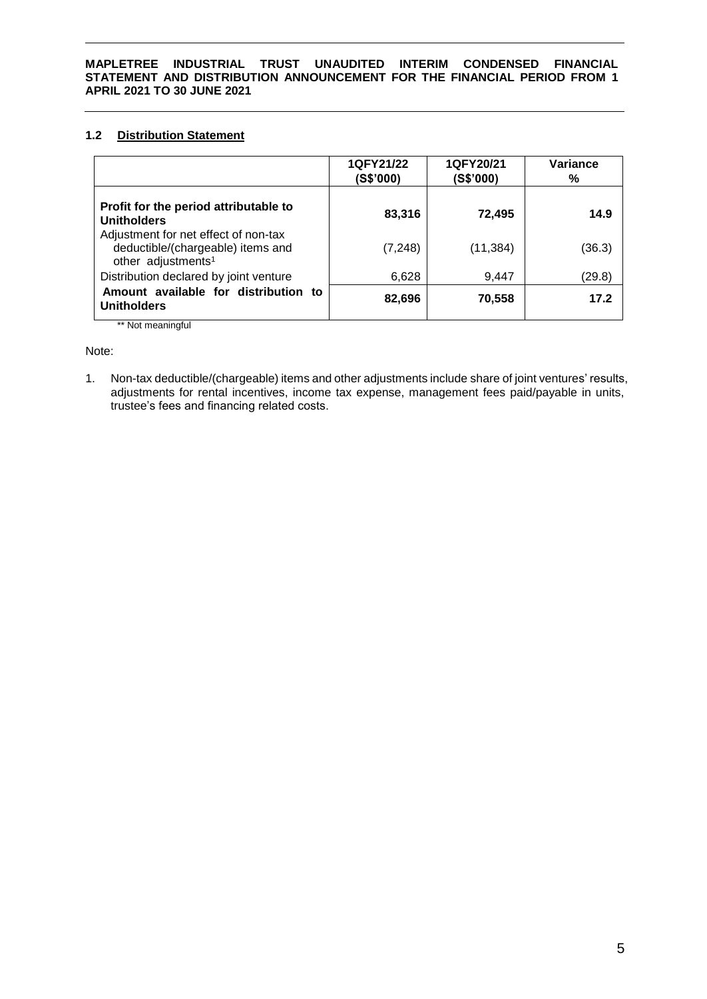# **1.2 Distribution Statement**

|                                                                                                             | 1QFY21/22<br>(S\$'000) | 1QFY20/21<br>(S\$'000) | Variance<br>% |
|-------------------------------------------------------------------------------------------------------------|------------------------|------------------------|---------------|
| Profit for the period attributable to<br><b>Unitholders</b>                                                 | 83,316                 | 72,495                 | 14.9          |
| Adjustment for net effect of non-tax<br>deductible/(chargeable) items and<br>other adjustments <sup>1</sup> | (7, 248)               | (11, 384)              | (36.3)        |
| Distribution declared by joint venture                                                                      | 6,628                  | 9,447                  | (29.8)        |
| Amount available for distribution to<br><b>Unitholders</b>                                                  | 82,696                 | 70,558                 | 17.2          |
| ** Not meaningful                                                                                           |                        |                        |               |

Note:

1. Non-tax deductible/(chargeable) items and other adjustments include share of joint ventures' results, adjustments for rental incentives, income tax expense, management fees paid/payable in units, trustee's fees and financing related costs.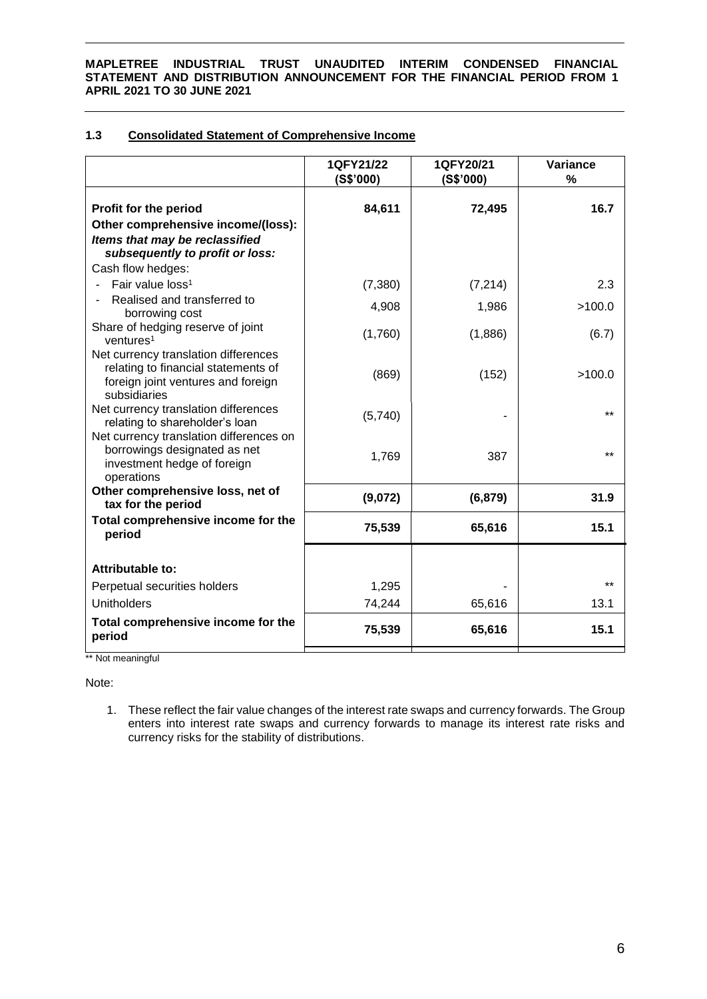# **1.3 Consolidated Statement of Comprehensive Income**

|                                                                                                                                   | 1QFY21/22<br>(S\$'000) | 1QFY20/21<br>(S\$'000) | Variance<br>% |
|-----------------------------------------------------------------------------------------------------------------------------------|------------------------|------------------------|---------------|
| Profit for the period<br>Other comprehensive income/(loss):<br>Items that may be reclassified                                     | 84,611                 | 72,495                 | 16.7          |
| subsequently to profit or loss:                                                                                                   |                        |                        |               |
| Cash flow hedges:                                                                                                                 |                        |                        |               |
| Fair value loss <sup>1</sup>                                                                                                      | (7,380)                | (7, 214)               | 2.3           |
| Realised and transferred to<br>borrowing cost                                                                                     | 4,908                  | 1,986                  | >100.0        |
| Share of hedging reserve of joint<br>ventures <sup>1</sup>                                                                        | (1,760)                | (1,886)                | (6.7)         |
| Net currency translation differences<br>relating to financial statements of<br>foreign joint ventures and foreign<br>subsidiaries | (869)                  | (152)                  | >100.0        |
| Net currency translation differences<br>relating to shareholder's loan<br>Net currency translation differences on                 | (5,740)                |                        | $+ +$         |
| borrowings designated as net<br>investment hedge of foreign<br>operations                                                         | 1,769                  | 387                    | $+ +$         |
| Other comprehensive loss, net of<br>tax for the period                                                                            | (9,072)                | (6, 879)               | 31.9          |
| Total comprehensive income for the<br>period                                                                                      | 75,539                 | 65,616                 | 15.1          |
| <b>Attributable to:</b>                                                                                                           |                        |                        |               |
| Perpetual securities holders                                                                                                      | 1,295                  |                        | $+ +$         |
| <b>Unitholders</b>                                                                                                                | 74,244                 | 65,616                 | 13.1          |
|                                                                                                                                   |                        |                        |               |
| Total comprehensive income for the<br>period                                                                                      | 75,539                 | 65,616                 | 15.1          |

\*\* Not meaningful

Note:

1. These reflect the fair value changes of the interest rate swaps and currency forwards. The Group enters into interest rate swaps and currency forwards to manage its interest rate risks and currency risks for the stability of distributions.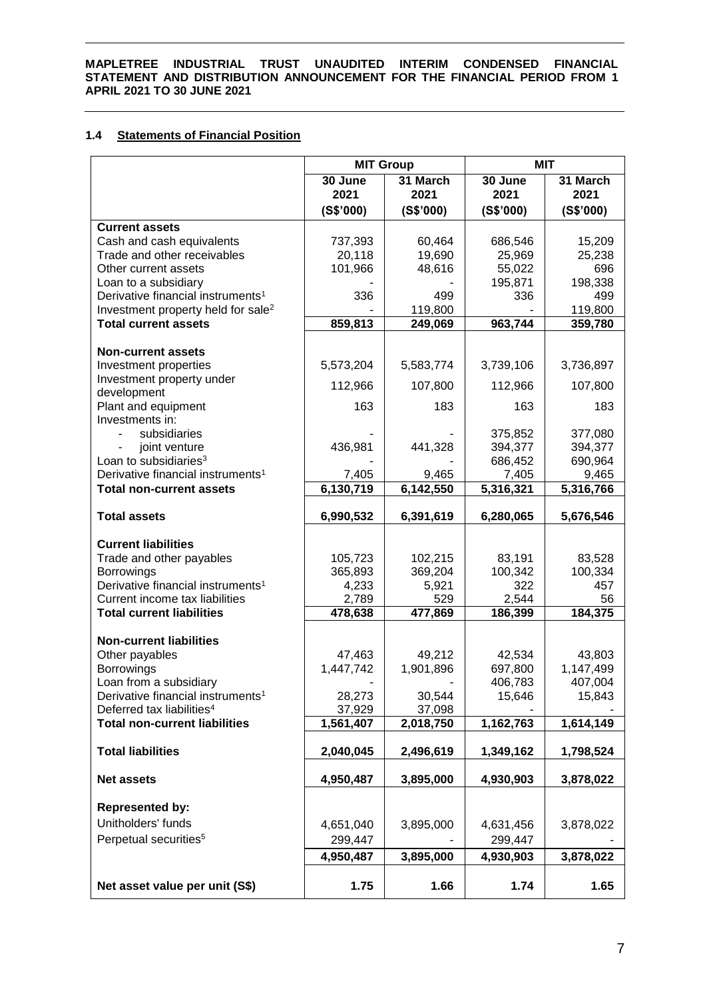# **1.4 Statements of Financial Position**

|                                                                                                 | <b>MIT Group</b> |                | MIT       |                |
|-------------------------------------------------------------------------------------------------|------------------|----------------|-----------|----------------|
|                                                                                                 | 30 June          | 31 March       | 30 June   | 31 March       |
|                                                                                                 | 2021             | 2021           | 2021      | 2021           |
|                                                                                                 | (S\$'000)        | (S\$'000)      | (S\$'000) | (S\$'000)      |
| <b>Current assets</b>                                                                           |                  |                |           |                |
| Cash and cash equivalents                                                                       | 737,393          | 60,464         | 686,546   | 15,209         |
| Trade and other receivables                                                                     | 20,118           | 19,690         | 25,969    | 25,238         |
| Other current assets                                                                            | 101,966          | 48,616         | 55,022    | 696            |
| Loan to a subsidiary                                                                            |                  |                | 195,871   | 198,338        |
| Derivative financial instruments <sup>1</sup><br>Investment property held for sale <sup>2</sup> | 336              | 499<br>119,800 | 336       | 499<br>119,800 |
| <b>Total current assets</b>                                                                     | 859,813          | 249,069        | 963,744   | 359,780        |
|                                                                                                 |                  |                |           |                |
| <b>Non-current assets</b>                                                                       |                  |                |           |                |
| Investment properties                                                                           | 5,573,204        | 5,583,774      | 3,739,106 | 3,736,897      |
| Investment property under<br>development                                                        | 112,966          | 107,800        | 112,966   | 107,800        |
| Plant and equipment<br>Investments in:                                                          | 163              | 183            | 163       | 183            |
| subsidiaries                                                                                    |                  |                | 375,852   | 377,080        |
| joint venture                                                                                   | 436,981          | 441,328        | 394,377   | 394,377        |
| Loan to subsidiaries <sup>3</sup>                                                               |                  |                | 686,452   | 690,964        |
| Derivative financial instruments <sup>1</sup>                                                   | 7,405            | 9,465          | 7,405     | 9,465          |
| <b>Total non-current assets</b>                                                                 | 6,130,719        | 6,142,550      | 5,316,321 | 5,316,766      |
| <b>Total assets</b>                                                                             | 6,990,532        | 6,391,619      | 6,280,065 | 5,676,546      |
| <b>Current liabilities</b>                                                                      |                  |                |           |                |
| Trade and other payables                                                                        | 105,723          | 102,215        | 83,191    | 83,528         |
| <b>Borrowings</b>                                                                               | 365,893          | 369,204        | 100,342   | 100,334        |
| Derivative financial instruments <sup>1</sup>                                                   | 4,233            | 5,921          | 322       | 457            |
| Current income tax liabilities                                                                  | 2,789            | 529            | 2,544     | 56             |
| <b>Total current liabilities</b>                                                                | 478,638          | 477,869        | 186,399   | 184,375        |
| <b>Non-current liabilities</b>                                                                  |                  |                |           |                |
| Other payables                                                                                  | 47,463           | 49,212         | 42,534    | 43,803         |
| Borrowings                                                                                      | 1,447,742        | 1,901,896      | 697,800   | 1,147,499      |
| Loan from a subsidiary                                                                          |                  |                | 406,783   | 407,004        |
| Derivative financial instruments <sup>1</sup>                                                   | 28,273           | 30,544         | 15,646    | 15,843         |
| Deferred tax liabilities <sup>4</sup>                                                           | 37,929           | 37,098         |           |                |
| <b>Total non-current liabilities</b>                                                            | 1,561,407        | 2,018,750      | 1,162,763 | 1,614,149      |
| <b>Total liabilities</b>                                                                        | 2,040,045        | 2,496,619      | 1,349,162 | 1,798,524      |
| <b>Net assets</b>                                                                               | 4,950,487        | 3,895,000      | 4,930,903 | 3,878,022      |
| <b>Represented by:</b>                                                                          |                  |                |           |                |
| Unitholders' funds                                                                              |                  |                |           |                |
| Perpetual securities <sup>5</sup>                                                               | 4,651,040        | 3,895,000      | 4,631,456 | 3,878,022      |
|                                                                                                 | 299,447          |                | 299,447   |                |
|                                                                                                 | 4,950,487        | 3,895,000      | 4,930,903 | 3,878,022      |
| Net asset value per unit (S\$)                                                                  | 1.75             | 1.66           | 1.74      | 1.65           |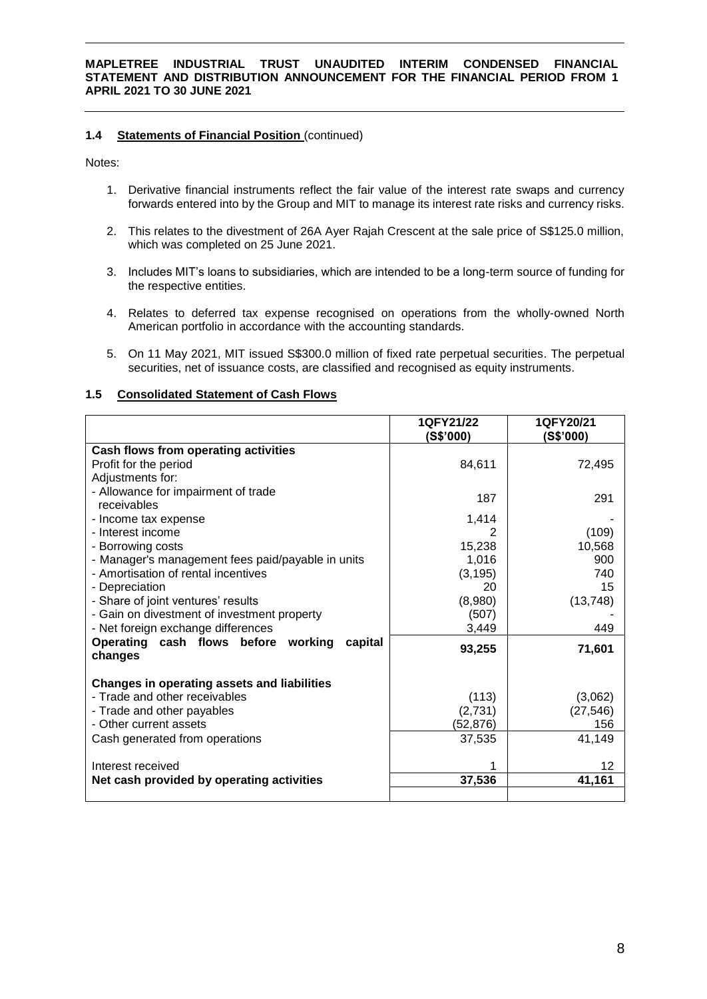# **1.4 Statements of Financial Position** (continued)

Notes:

- 1. Derivative financial instruments reflect the fair value of the interest rate swaps and currency forwards entered into by the Group and MIT to manage its interest rate risks and currency risks.
- 2. This relates to the divestment of 26A Ayer Rajah Crescent at the sale price of S\$125.0 million, which was completed on 25 June 2021.
- 3. Includes MIT's loans to subsidiaries, which are intended to be a long-term source of funding for the respective entities.
- 4. Relates to deferred tax expense recognised on operations from the wholly-owned North American portfolio in accordance with the accounting standards.
- 5. On 11 May 2021, MIT issued S\$300.0 million of fixed rate perpetual securities. The perpetual securities, net of issuance costs, are classified and recognised as equity instruments.

### **1.5 Consolidated Statement of Cash Flows**

|                                                           | 1QFY21/22<br>(S\$'000) | 1QFY20/21<br>(S\$'000) |
|-----------------------------------------------------------|------------------------|------------------------|
| Cash flows from operating activities                      |                        |                        |
| Profit for the period                                     | 84,611                 | 72,495                 |
| Adjustments for:                                          |                        |                        |
| - Allowance for impairment of trade<br>receivables        | 187                    | 291                    |
| - Income tax expense                                      | 1,414                  |                        |
| - Interest income                                         | 2                      | (109)                  |
| - Borrowing costs                                         | 15,238                 | 10,568                 |
| - Manager's management fees paid/payable in units         | 1,016                  | 900                    |
| - Amortisation of rental incentives                       | (3, 195)               | 740                    |
| - Depreciation                                            | 20                     | 15                     |
| - Share of joint ventures' results                        | (8,980)                | (13, 748)              |
| - Gain on divestment of investment property               | (507)                  |                        |
| - Net foreign exchange differences                        | 3,449                  | 449                    |
| Operating cash flows before working<br>capital<br>changes | 93,255                 | 71,601                 |
| Changes in operating assets and liabilities               |                        |                        |
| - Trade and other receivables                             | (113)                  | (3,062)                |
| - Trade and other payables                                | (2,731)                | (27, 546)              |
| - Other current assets                                    | (52,876)               | 156                    |
| Cash generated from operations                            | 37,535                 | 41,149                 |
| Interest received                                         |                        | 12                     |
| Net cash provided by operating activities                 | 37,536                 | 41,161                 |
|                                                           |                        |                        |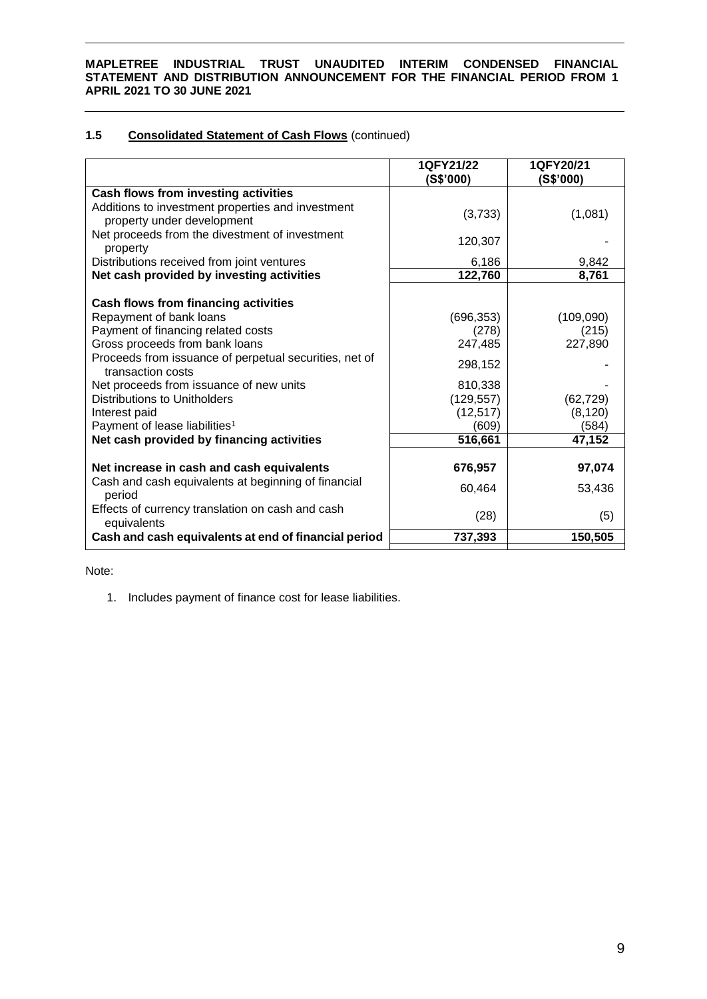# **1.5 Consolidated Statement of Cash Flows** (continued)

|                                                                                 | 1QFY21/22<br>(S\$'000) | 1QFY20/21<br>(S\$'000) |
|---------------------------------------------------------------------------------|------------------------|------------------------|
| Cash flows from investing activities                                            |                        |                        |
| Additions to investment properties and investment<br>property under development | (3,733)                | (1,081)                |
| Net proceeds from the divestment of investment<br>property                      | 120,307                |                        |
| Distributions received from joint ventures                                      | 6,186                  | 9,842                  |
| Net cash provided by investing activities                                       | 122,760                | 8,761                  |
| Cash flows from financing activities                                            |                        |                        |
| Repayment of bank loans                                                         | (696, 353)             | (109,090)              |
| Payment of financing related costs                                              | (278)                  | (215)                  |
| Gross proceeds from bank loans                                                  | 247,485                | 227,890                |
| Proceeds from issuance of perpetual securities, net of<br>transaction costs     | 298,152                |                        |
| Net proceeds from issuance of new units                                         | 810,338                |                        |
| <b>Distributions to Unitholders</b>                                             | (129, 557)             | (62, 729)              |
| Interest paid                                                                   | (12, 517)              | (8, 120)               |
| Payment of lease liabilities <sup>1</sup>                                       | (609)                  | (584)                  |
| Net cash provided by financing activities                                       | 516,661                | 47,152                 |
|                                                                                 |                        |                        |
| Net increase in cash and cash equivalents                                       | 676,957                | 97,074                 |
| Cash and cash equivalents at beginning of financial<br>period                   | 60,464                 | 53,436                 |
| Effects of currency translation on cash and cash<br>equivalents                 | (28)                   | (5)                    |
| Cash and cash equivalents at end of financial period                            | 737,393                | 150,505                |

Note:

1. Includes payment of finance cost for lease liabilities.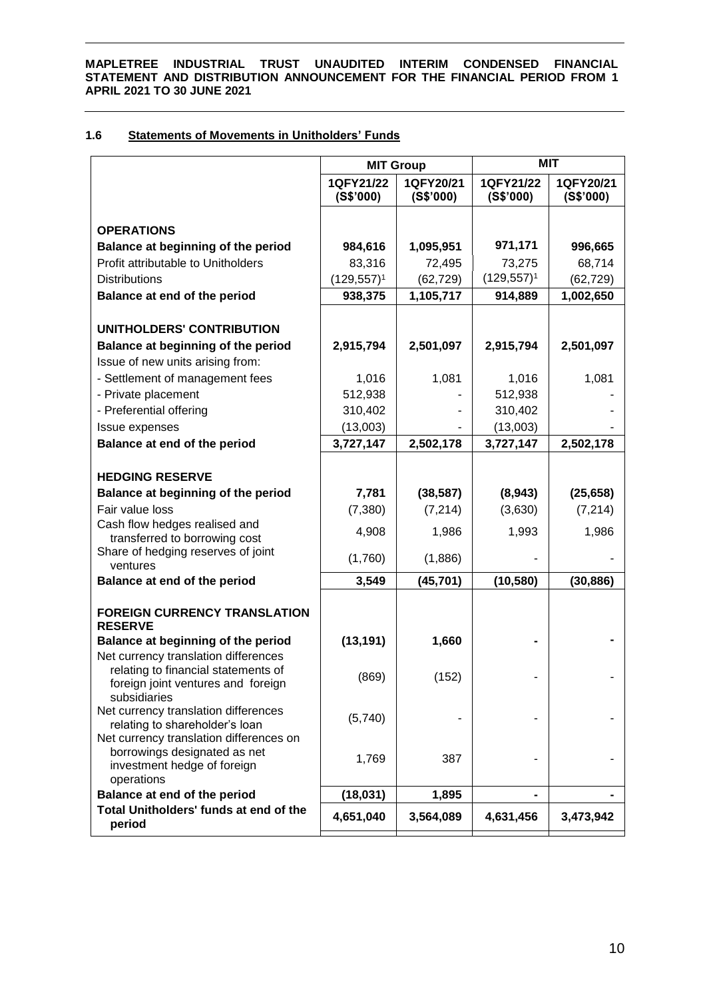# **1.6 Statements of Movements in Unitholders' Funds**

|                                                             | <b>MIT Group</b>       |                        | <b>MIT</b>             |                        |
|-------------------------------------------------------------|------------------------|------------------------|------------------------|------------------------|
|                                                             | 1QFY21/22<br>(S\$'000) | 1QFY20/21<br>(S\$'000) | 1QFY21/22<br>(S\$'000) | 1QFY20/21<br>(S\$'000) |
| <b>OPERATIONS</b>                                           |                        |                        |                        |                        |
| Balance at beginning of the period                          | 984,616                | 1,095,951              | 971,171                | 996,665                |
| Profit attributable to Unitholders                          | 83,316                 | 72,495                 | 73,275                 | 68,714                 |
| <b>Distributions</b>                                        | $(129, 557)^1$         | (62, 729)              | $(129, 557)^1$         | (62, 729)              |
| Balance at end of the period                                | 938,375                | 1,105,717              | 914,889                | 1,002,650              |
|                                                             |                        |                        |                        |                        |
| UNITHOLDERS' CONTRIBUTION                                   |                        |                        |                        |                        |
| Balance at beginning of the period                          | 2,915,794              | 2,501,097              | 2,915,794              | 2,501,097              |
| Issue of new units arising from:                            |                        |                        |                        |                        |
| - Settlement of management fees                             | 1,016                  | 1,081                  | 1,016                  | 1,081                  |
| - Private placement                                         | 512,938                |                        | 512,938                |                        |
| - Preferential offering                                     | 310,402                |                        | 310,402                |                        |
| Issue expenses                                              | (13,003)               |                        | (13,003)               |                        |
| Balance at end of the period                                | 3,727,147              | 2,502,178              | 3,727,147              | 2,502,178              |
| <b>HEDGING RESERVE</b>                                      |                        |                        |                        |                        |
| Balance at beginning of the period                          | 7,781                  | (38, 587)              | (8,943)                | (25, 658)              |
| Fair value loss                                             | (7,380)                | (7, 214)               | (3,630)                | (7, 214)               |
| Cash flow hedges realised and                               |                        |                        |                        |                        |
| transferred to borrowing cost                               | 4,908                  | 1,986                  | 1,993                  | 1,986                  |
| Share of hedging reserves of joint<br>ventures              | (1,760)                | (1,886)                |                        |                        |
| Balance at end of the period                                | 3,549                  | (45, 701)              | (10, 580)              | (30, 886)              |
|                                                             |                        |                        |                        |                        |
| <b>FOREIGN CURRENCY TRANSLATION</b><br><b>RESERVE</b>       |                        |                        |                        |                        |
| Balance at beginning of the period                          | (13, 191)              | 1,660                  |                        |                        |
| Net currency translation differences                        |                        |                        |                        |                        |
| relating to financial statements of                         | (869)                  | (152)                  |                        |                        |
| foreign joint ventures and foreign<br>subsidiaries          |                        |                        |                        |                        |
| Net currency translation differences                        |                        |                        |                        |                        |
| relating to shareholder's loan                              | (5,740)                |                        |                        |                        |
| Net currency translation differences on                     |                        |                        |                        |                        |
| borrowings designated as net<br>investment hedge of foreign | 1,769                  | 387                    |                        |                        |
| operations                                                  |                        |                        |                        |                        |
| Balance at end of the period                                | (18, 031)              | 1,895                  |                        |                        |
| Total Unitholders' funds at end of the<br>period            | 4,651,040              | 3,564,089              | 4,631,456              | 3,473,942              |
|                                                             |                        |                        |                        |                        |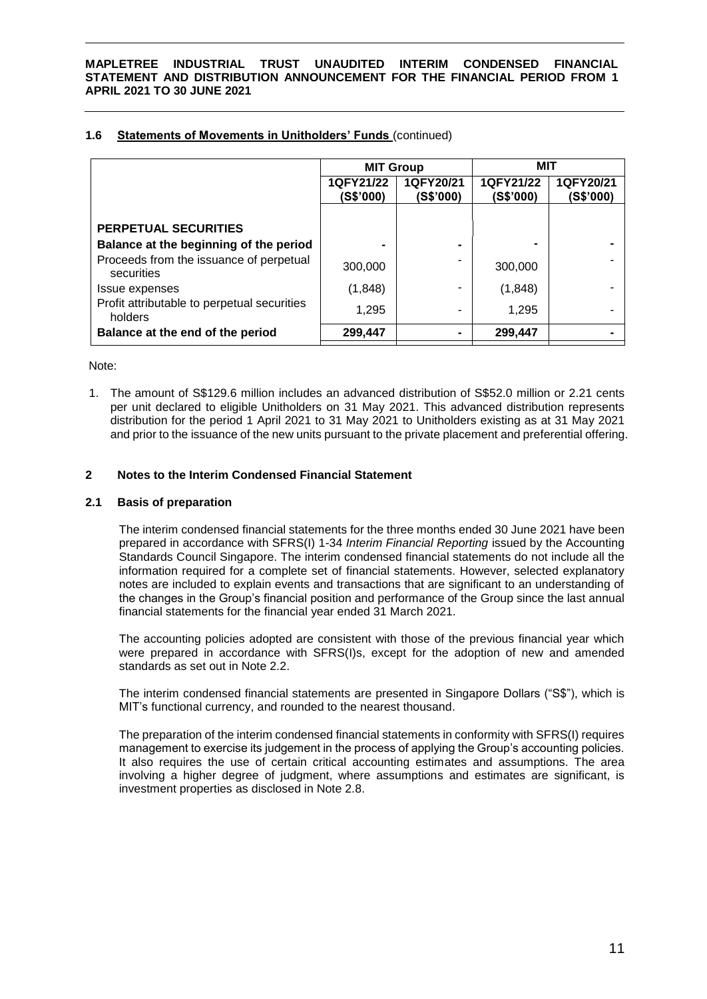| 1.6 | <b>Statements of Movements in Unitholders' Funds (continued)</b> |  |
|-----|------------------------------------------------------------------|--|
|     |                                                                  |  |

| 1QFY21/22<br>1QFY20/21<br>(S\$'000)<br>(S\$'000) |                                        |
|--------------------------------------------------|----------------------------------------|
|                                                  |                                        |
|                                                  |                                        |
|                                                  |                                        |
|                                                  |                                        |
|                                                  |                                        |
|                                                  |                                        |
|                                                  |                                        |
|                                                  | 300,000<br>(1,848)<br>1,295<br>299,447 |

Note:

1. The amount of S\$129.6 million includes an advanced distribution of S\$52.0 million or 2.21 cents per unit declared to eligible Unitholders on 31 May 2021. This advanced distribution represents distribution for the period 1 April 2021 to 31 May 2021 to Unitholders existing as at 31 May 2021 and prior to the issuance of the new units pursuant to the private placement and preferential offering.

# **2 Notes to the Interim Condensed Financial Statement**

# **2.1 Basis of preparation**

The interim condensed financial statements for the three months ended 30 June 2021 have been prepared in accordance with SFRS(I) 1-34 *Interim Financial Reporting* issued by the Accounting Standards Council Singapore. The interim condensed financial statements do not include all the information required for a complete set of financial statements. However, selected explanatory notes are included to explain events and transactions that are significant to an understanding of the changes in the Group's financial position and performance of the Group since the last annual financial statements for the financial year ended 31 March 2021.

The accounting policies adopted are consistent with those of the previous financial year which were prepared in accordance with SFRS(I)s, except for the adoption of new and amended standards as set out in Note 2.2.

The interim condensed financial statements are presented in Singapore Dollars ("S\$"), which is MIT's functional currency, and rounded to the nearest thousand.

The preparation of the interim condensed financial statements in conformity with SFRS(I) requires management to exercise its judgement in the process of applying the Group's accounting policies. It also requires the use of certain critical accounting estimates and assumptions. The area involving a higher degree of judgment, where assumptions and estimates are significant, is investment properties as disclosed in Note 2.8.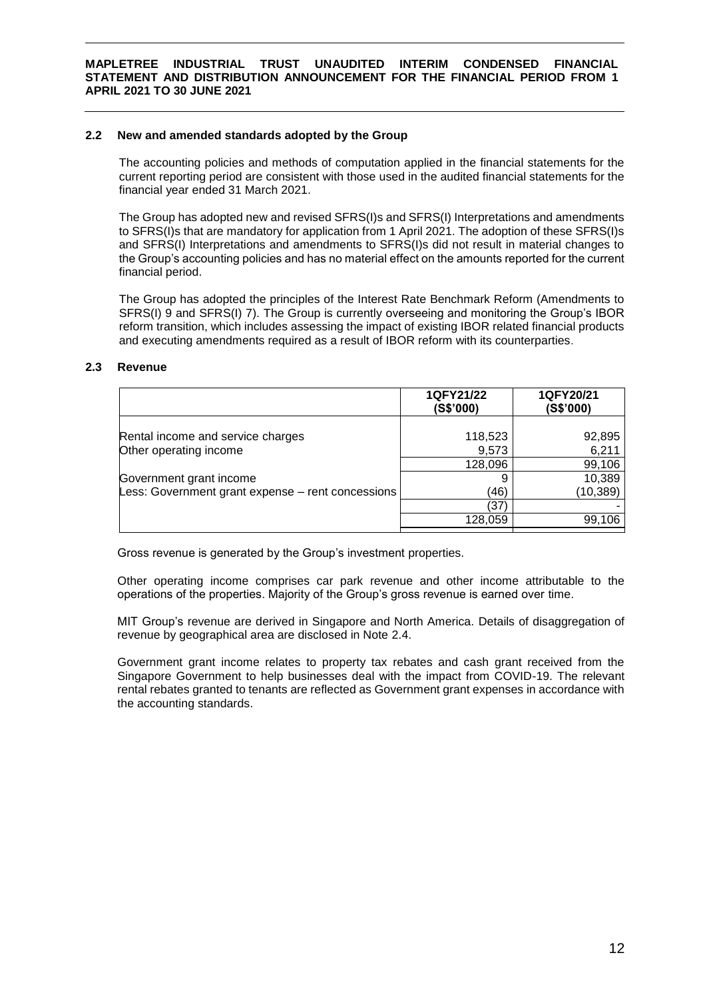# **2.2 New and amended standards adopted by the Group**

The accounting policies and methods of computation applied in the financial statements for the current reporting period are consistent with those used in the audited financial statements for the financial year ended 31 March 2021.

The Group has adopted new and revised SFRS(I)s and SFRS(I) Interpretations and amendments to SFRS(I)s that are mandatory for application from 1 April 2021. The adoption of these SFRS(I)s and SFRS(I) Interpretations and amendments to SFRS(I)s did not result in material changes to the Group's accounting policies and has no material effect on the amounts reported for the current financial period.

The Group has adopted the principles of the Interest Rate Benchmark Reform (Amendments to SFRS(I) 9 and SFRS(I) 7). The Group is currently overseeing and monitoring the Group's IBOR reform transition, which includes assessing the impact of existing IBOR related financial products and executing amendments required as a result of IBOR reform with its counterparties.

# **2.3 Revenue**

|                                                   | 1QFY21/22<br>(S\$'000) | 1QFY20/21<br>(S\$'000) |
|---------------------------------------------------|------------------------|------------------------|
| Rental income and service charges                 | 118,523                | 92,895                 |
| Other operating income                            | 9,573                  | 6,211                  |
|                                                   | 128,096                | 99,106                 |
| Government grant income                           |                        | 10,389                 |
| Less: Government grant expense – rent concessions | (46)                   | (10, 389)              |
|                                                   | (37)                   |                        |
|                                                   | 128.059                | 99,106                 |

Gross revenue is generated by the Group's investment properties.

Other operating income comprises car park revenue and other income attributable to the operations of the properties. Majority of the Group's gross revenue is earned over time.

MIT Group's revenue are derived in Singapore and North America. Details of disaggregation of revenue by geographical area are disclosed in Note 2.4.

Government grant income relates to property tax rebates and cash grant received from the Singapore Government to help businesses deal with the impact from COVID-19. The relevant rental rebates granted to tenants are reflected as Government grant expenses in accordance with the accounting standards.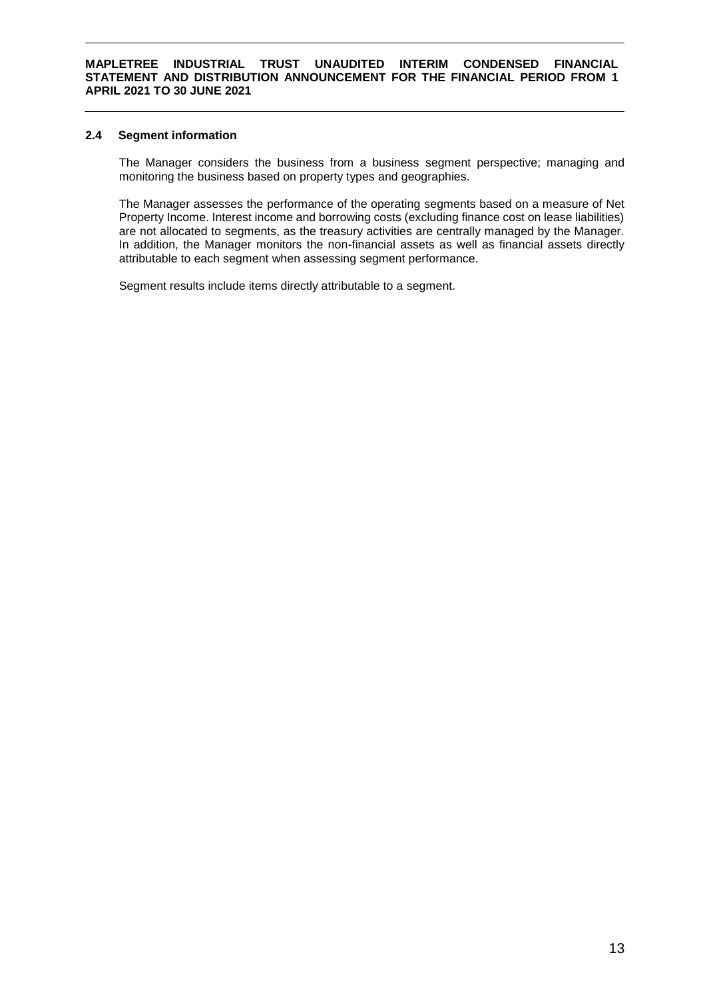# **2.4 Segment information**

The Manager considers the business from a business segment perspective; managing and monitoring the business based on property types and geographies.

The Manager assesses the performance of the operating segments based on a measure of Net Property Income. Interest income and borrowing costs (excluding finance cost on lease liabilities) are not allocated to segments, as the treasury activities are centrally managed by the Manager. In addition, the Manager monitors the non-financial assets as well as financial assets directly attributable to each segment when assessing segment performance.

Segment results include items directly attributable to a segment.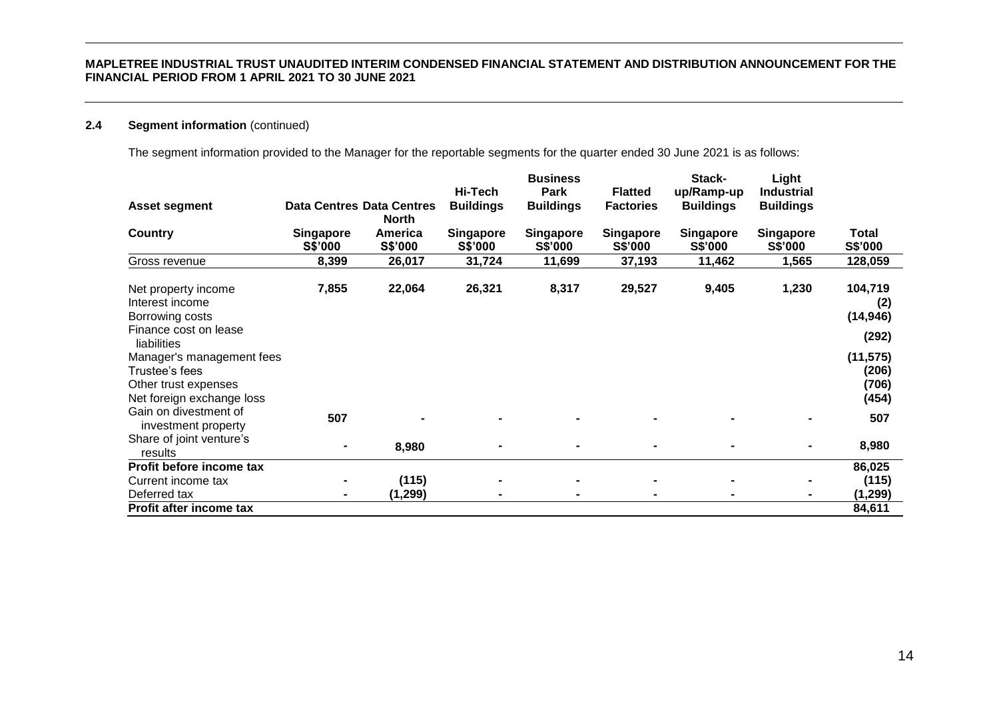# **2.4 Segment information** (continued)

The segment information provided to the Manager for the reportable segments for the quarter ended 30 June 2021 is as follows:

|                                                                                                  |                                  |                    | Hi-Tech                     | <b>Business</b><br>Park     | <b>Flatted</b>              | Stack-<br>up/Ramp-up        | Light<br><b>Industrial</b>  |                                      |
|--------------------------------------------------------------------------------------------------|----------------------------------|--------------------|-----------------------------|-----------------------------|-----------------------------|-----------------------------|-----------------------------|--------------------------------------|
| <b>Asset segment</b>                                                                             | <b>Data Centres Data Centres</b> | <b>North</b>       | <b>Buildings</b>            | <b>Buildings</b>            | <b>Factories</b>            | <b>Buildings</b>            | <b>Buildings</b>            |                                      |
| Country                                                                                          | <b>Singapore</b><br>S\$'000      | America<br>S\$'000 | <b>Singapore</b><br>S\$'000 | <b>Singapore</b><br>S\$'000 | <b>Singapore</b><br>S\$'000 | <b>Singapore</b><br>S\$'000 | <b>Singapore</b><br>S\$'000 | Total<br>S\$'000                     |
| Gross revenue                                                                                    | 8,399                            | 26,017             | 31,724                      | 11,699                      | 37,193                      | 11,462                      | 1,565                       | 128,059                              |
| Net property income<br>Interest income<br>Borrowing costs                                        | 7,855                            | 22,064             | 26,321                      | 8,317                       | 29,527                      | 9,405                       | 1,230                       | 104,719<br>(2)<br>(14, 946)          |
| Finance cost on lease<br>liabilities                                                             |                                  |                    |                             |                             |                             |                             |                             | (292)                                |
| Manager's management fees<br>Trustee's fees<br>Other trust expenses<br>Net foreign exchange loss |                                  |                    |                             |                             |                             |                             |                             | (11, 575)<br>(206)<br>(706)<br>(454) |
| Gain on divestment of<br>investment property                                                     | 507                              |                    |                             |                             |                             |                             |                             | 507                                  |
| Share of joint venture's<br>results                                                              |                                  | 8,980              |                             | $\blacksquare$              |                             | $\blacksquare$              |                             | 8,980                                |
| Profit before income tax                                                                         |                                  |                    |                             |                             |                             |                             |                             | 86,025                               |
| Current income tax<br>Deferred tax                                                               |                                  | (115)<br>(1, 299)  |                             |                             |                             | $\blacksquare$              |                             | (115)<br>(1, 299)                    |
| Profit after income tax                                                                          |                                  |                    |                             |                             |                             |                             |                             | 84,611                               |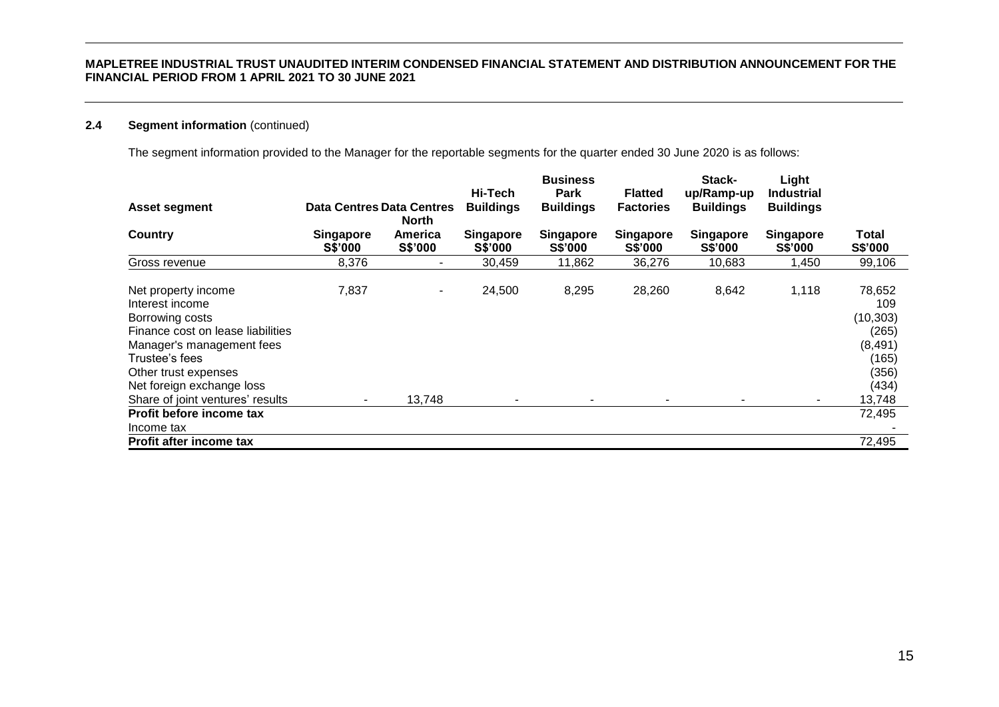# **2.4 Segment information** (continued)

The segment information provided to the Manager for the reportable segments for the quarter ended 30 June 2020 is as follows:

|                                                                                                                                                                                                    |                                  |                          | Hi-Tech                            | <b>Business</b><br><b>Park</b> | <b>Flatted</b>              | Stack-<br>up/Ramp-up               | Light<br><b>Industrial</b>         |                                                                            |
|----------------------------------------------------------------------------------------------------------------------------------------------------------------------------------------------------|----------------------------------|--------------------------|------------------------------------|--------------------------------|-----------------------------|------------------------------------|------------------------------------|----------------------------------------------------------------------------|
| <b>Asset segment</b>                                                                                                                                                                               | <b>Data Centres Data Centres</b> | North                    | <b>Buildings</b>                   | <b>Buildings</b>               | <b>Factories</b>            | <b>Buildings</b>                   | <b>Buildings</b>                   |                                                                            |
| Country                                                                                                                                                                                            | Singapore<br><b>S\$'000</b>      | America<br>S\$'000       | <b>Singapore</b><br><b>S\$'000</b> | Singapore<br><b>S\$'000</b>    | Singapore<br><b>S\$'000</b> | <b>Singapore</b><br><b>S\$'000</b> | <b>Singapore</b><br><b>S\$'000</b> | Total<br>S\$'000                                                           |
| Gross revenue                                                                                                                                                                                      | 8,376                            | $\overline{\phantom{a}}$ | 30,459                             | 11,862                         | 36,276                      | 10,683                             | 1,450                              | 99,106                                                                     |
| Net property income<br>Interest income<br>Borrowing costs<br>Finance cost on lease liabilities<br>Manager's management fees<br>Trustee's fees<br>Other trust expenses<br>Net foreign exchange loss | 7,837                            | $\overline{\phantom{a}}$ | 24,500                             | 8,295                          | 28,260                      | 8,642                              | 1,118                              | 78,652<br>109<br>(10, 303)<br>(265)<br>(8, 491)<br>(165)<br>(356)<br>(434) |
| Share of joint ventures' results                                                                                                                                                                   |                                  | 13,748                   |                                    |                                |                             |                                    | $\blacksquare$                     | 13,748                                                                     |
| Profit before income tax<br>Income tax                                                                                                                                                             |                                  |                          |                                    |                                |                             |                                    |                                    | 72,495                                                                     |
| <b>Profit after income tax</b>                                                                                                                                                                     |                                  |                          |                                    |                                |                             |                                    |                                    | 72,495                                                                     |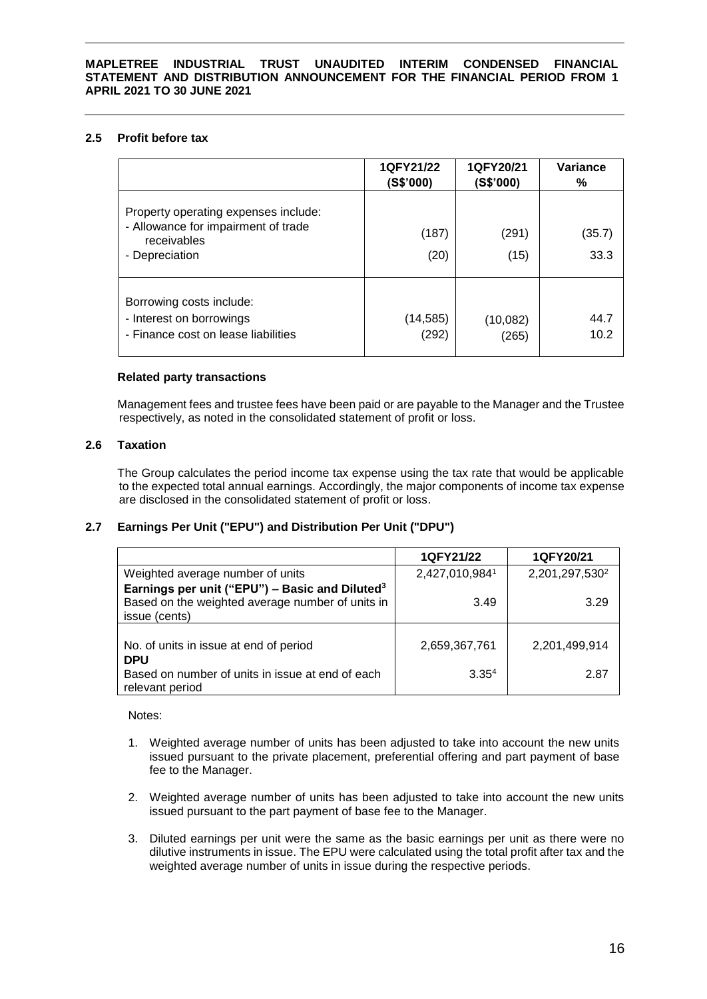# **2.5 Profit before tax**

|                                                                                                              | 1QFY21/22<br>(S\$'000) | 1QFY20/21<br>(S\$'000) | Variance<br>℅  |
|--------------------------------------------------------------------------------------------------------------|------------------------|------------------------|----------------|
| Property operating expenses include:<br>- Allowance for impairment of trade<br>receivables<br>- Depreciation | (187)<br>(20)          | (291)<br>(15)          | (35.7)<br>33.3 |
| Borrowing costs include:<br>- Interest on borrowings<br>- Finance cost on lease liabilities                  | (14, 585)<br>(292)     | (10,082)<br>(265)      | 44.7<br>10.2   |

# **Related party transactions**

Management fees and trustee fees have been paid or are payable to the Manager and the Trustee respectively, as noted in the consolidated statement of profit or loss.

# **2.6 Taxation**

The Group calculates the period income tax expense using the tax rate that would be applicable to the expected total annual earnings. Accordingly, the major components of income tax expense are disclosed in the consolidated statement of profit or loss.

# **2.7 Earnings Per Unit ("EPU") and Distribution Per Unit ("DPU")**

|                                                            | 1QFY21/22         | 1QFY20/21                  |
|------------------------------------------------------------|-------------------|----------------------------|
| Weighted average number of units                           | 2,427,010,9841    | 2,201,297,530 <sup>2</sup> |
| Earnings per unit ("EPU") - Basic and Diluted <sup>3</sup> |                   |                            |
| Based on the weighted average number of units in           | 3.49              | 3.29                       |
| issue (cents)                                              |                   |                            |
|                                                            |                   |                            |
| No. of units in issue at end of period                     | 2,659,367,761     | 2,201,499,914              |
| <b>DPU</b>                                                 |                   |                            |
| Based on number of units in issue at end of each           | 3.35 <sup>4</sup> | 2.87                       |
| relevant period                                            |                   |                            |

Notes:

- 1. Weighted average number of units has been adjusted to take into account the new units issued pursuant to the private placement, preferential offering and part payment of base fee to the Manager.
- 2. Weighted average number of units has been adjusted to take into account the new units issued pursuant to the part payment of base fee to the Manager.
- 3. Diluted earnings per unit were the same as the basic earnings per unit as there were no dilutive instruments in issue. The EPU were calculated using the total profit after tax and the weighted average number of units in issue during the respective periods.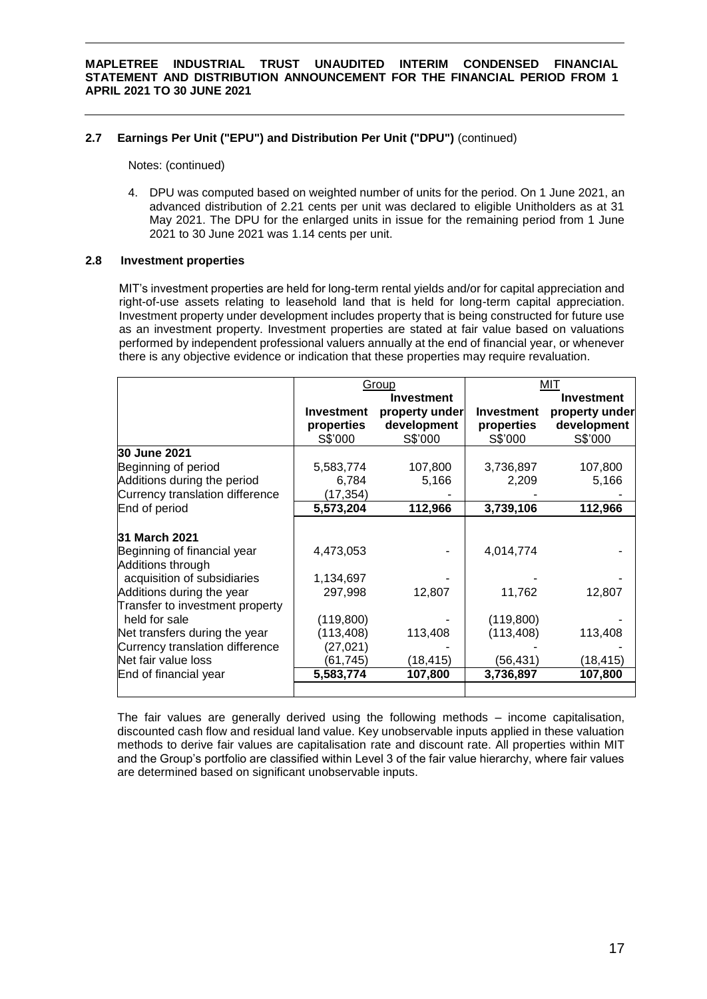# **2.7 Earnings Per Unit ("EPU") and Distribution Per Unit ("DPU")** (continued)

Notes: (continued)

4. DPU was computed based on weighted number of units for the period. On 1 June 2021, an advanced distribution of 2.21 cents per unit was declared to eligible Unitholders as at 31 May 2021. The DPU for the enlarged units in issue for the remaining period from 1 June 2021 to 30 June 2021 was 1.14 cents per unit.

# **2.8 Investment properties**

MIT's investment properties are held for long-term rental yields and/or for capital appreciation and right-of-use assets relating to leasehold land that is held for long-term capital appreciation. Investment property under development includes property that is being constructed for future use as an investment property. Investment properties are stated at fair value based on valuations performed by independent professional valuers annually at the end of financial year, or whenever there is any objective evidence or indication that these properties may require revaluation.

|                                 |            | Group             |                   | MIT               |
|---------------------------------|------------|-------------------|-------------------|-------------------|
|                                 |            | <b>Investment</b> |                   | <b>Investment</b> |
|                                 | Investment | property under    | <b>Investment</b> | property under    |
|                                 | properties | development       | properties        | development       |
|                                 | S\$'000    | S\$'000           | S\$'000           | S\$'000           |
| 30 June 2021                    |            |                   |                   |                   |
| Beginning of period             | 5,583,774  | 107,800           | 3,736,897         | 107,800           |
| Additions during the period     | 6,784      | 5,166             | 2,209             | 5,166             |
| Currency translation difference | (17,354)   |                   |                   |                   |
| End of period                   | 5,573,204  | 112,966           | 3,739,106         | 112,966           |
|                                 |            |                   |                   |                   |
| 31 March 2021                   |            |                   |                   |                   |
| Beginning of financial year     | 4,473,053  |                   | 4,014,774         |                   |
| Additions through               |            |                   |                   |                   |
| acquisition of subsidiaries     | 1,134,697  |                   |                   |                   |
| Additions during the year       | 297,998    | 12,807            | 11,762            | 12,807            |
| Transfer to investment property |            |                   |                   |                   |
| held for sale                   | (119, 800) |                   | (119, 800)        |                   |
| Net transfers during the year   | (113,408)  | 113,408           | (113, 408)        | 113,408           |
| Currency translation difference | (27, 021)  |                   |                   |                   |
| Net fair value loss             | (61,745)   | (18,415)          | (56, 431)         | (18, 415)         |
| End of financial year           | 5,583,774  | 107,800           | 3,736,897         | 107,800           |
|                                 |            |                   |                   |                   |

The fair values are generally derived using the following methods – income capitalisation, discounted cash flow and residual land value. Key unobservable inputs applied in these valuation methods to derive fair values are capitalisation rate and discount rate. All properties within MIT and the Group's portfolio are classified within Level 3 of the fair value hierarchy, where fair values are determined based on significant unobservable inputs.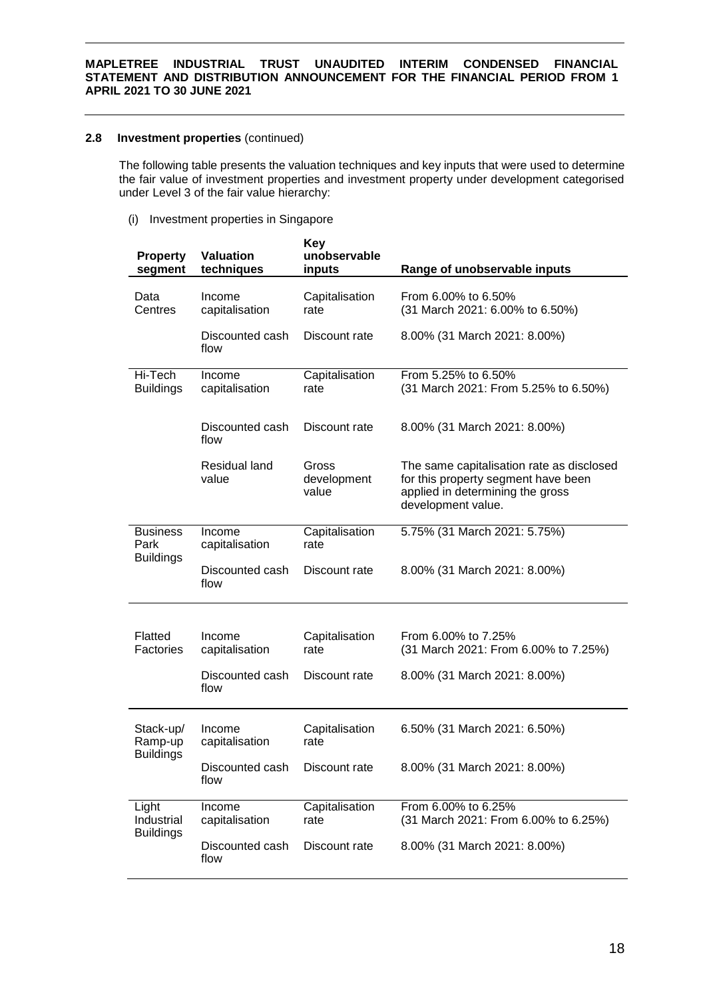# **2.8 Investment properties** (continued)

The following table presents the valuation techniques and key inputs that were used to determine the fair value of investment properties and investment property under development categorised under Level 3 of the fair value hierarchy:

(i) Investment properties in Singapore

| <b>Property</b><br>segment                  | <b>Valuation</b><br>techniques | <b>Key</b><br>unobservable<br>inputs | Range of unobservable inputs                                                                                                               |
|---------------------------------------------|--------------------------------|--------------------------------------|--------------------------------------------------------------------------------------------------------------------------------------------|
| Data<br>Centres                             | Income<br>capitalisation       | Capitalisation<br>rate               | From 6.00% to 6.50%<br>(31 March 2021: 6.00% to 6.50%)                                                                                     |
|                                             | Discounted cash<br>flow        | Discount rate                        | 8.00% (31 March 2021: 8.00%)                                                                                                               |
| Hi-Tech<br><b>Buildings</b>                 | Income<br>capitalisation       | Capitalisation<br>rate               | From 5.25% to 6.50%<br>(31 March 2021: From 5.25% to 6.50%)                                                                                |
|                                             | Discounted cash<br>flow        | Discount rate                        | 8.00% (31 March 2021: 8.00%)                                                                                                               |
|                                             | Residual land<br>value         | Gross<br>development<br>value        | The same capitalisation rate as disclosed<br>for this property segment have been<br>applied in determining the gross<br>development value. |
| <b>Business</b><br>Park<br><b>Buildings</b> | Income<br>capitalisation       | Capitalisation<br>rate               | 5.75% (31 March 2021: 5.75%)                                                                                                               |
|                                             | Discounted cash<br>flow        | Discount rate                        | 8.00% (31 March 2021: 8.00%)                                                                                                               |
|                                             |                                |                                      |                                                                                                                                            |
| Flatted<br><b>Factories</b>                 | Income<br>capitalisation       | Capitalisation<br>rate               | From 6.00% to 7.25%<br>(31 March 2021: From 6.00% to 7.25%)                                                                                |
|                                             | Discounted cash<br>flow        | Discount rate                        | 8.00% (31 March 2021: 8.00%)                                                                                                               |
| Stack-up/<br>Ramp-up<br><b>Buildings</b>    | Income<br>capitalisation       | Capitalisation<br>rate               | 6.50% (31 March 2021: 6.50%)                                                                                                               |
|                                             | Discounted cash<br>flow        | Discount rate                        | 8.00% (31 March 2021: 8.00%)                                                                                                               |
| Light<br>Industrial<br><b>Buildings</b>     | Income<br>capitalisation       | Capitalisation<br>rate               | From 6.00% to 6.25%<br>(31 March 2021: From 6.00% to 6.25%)                                                                                |
|                                             | Discounted cash<br>flow        | Discount rate                        | 8.00% (31 March 2021: 8.00%)                                                                                                               |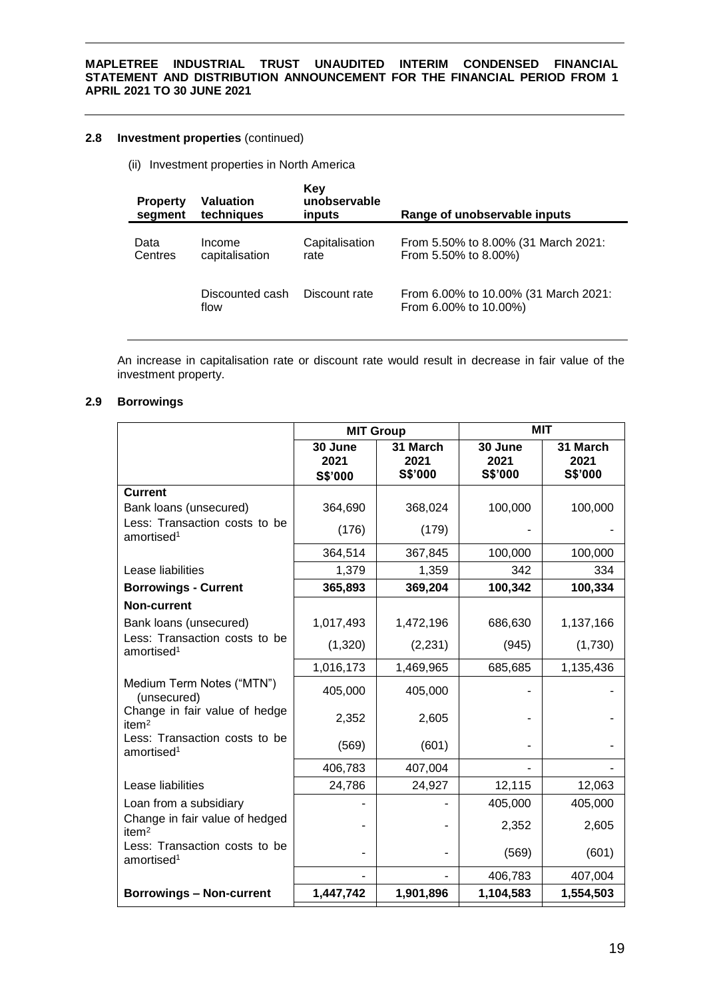# **2.8 Investment properties** (continued)

(ii) Investment properties in North America

| <b>Property</b><br>segment | Valuation<br>techniques  | Key<br>unobservable<br>inputs | Range of unobservable inputs                                  |
|----------------------------|--------------------------|-------------------------------|---------------------------------------------------------------|
| Data<br>Centres            | Income<br>capitalisation | Capitalisation<br>rate        | From 5.50% to 8.00% (31 March 2021:<br>From 5.50% to 8.00%)   |
|                            | Discounted cash<br>flow  | Discount rate                 | From 6.00% to 10.00% (31 March 2021:<br>From 6.00% to 10.00%) |

An increase in capitalisation rate or discount rate would result in decrease in fair value of the investment property.

# **2.9 Borrowings**

|                                                         | <b>MIT Group</b>           |                             | <b>MIT</b>                 |                             |  |
|---------------------------------------------------------|----------------------------|-----------------------------|----------------------------|-----------------------------|--|
|                                                         | 30 June<br>2021<br>S\$'000 | 31 March<br>2021<br>S\$'000 | 30 June<br>2021<br>S\$'000 | 31 March<br>2021<br>S\$'000 |  |
| <b>Current</b>                                          |                            |                             |                            |                             |  |
| Bank loans (unsecured)                                  | 364,690                    | 368,024                     | 100,000                    | 100,000                     |  |
| Less: Transaction costs to be<br>amortised <sup>1</sup> | (176)                      | (179)                       |                            |                             |  |
|                                                         | 364,514                    | 367,845                     | 100,000                    | 100,000                     |  |
| Lease liabilities                                       | 1,379                      | 1,359                       | 342                        | 334                         |  |
| <b>Borrowings - Current</b>                             | 365,893                    | 369,204                     | 100,342                    | 100,334                     |  |
| Non-current                                             |                            |                             |                            |                             |  |
| Bank loans (unsecured)                                  | 1,017,493                  | 1,472,196                   | 686,630                    | 1,137,166                   |  |
| Less: Transaction costs to be<br>amortised <sup>1</sup> | (1,320)                    | (2, 231)                    | (945)                      | (1,730)                     |  |
|                                                         | 1,016,173                  | 1,469,965                   | 685,685                    | 1,135,436                   |  |
| Medium Term Notes ("MTN")<br>(unsecured)                | 405,000                    | 405,000                     |                            |                             |  |
| Change in fair value of hedge<br>item <sup>2</sup>      | 2,352                      | 2,605                       |                            |                             |  |
| Less: Transaction costs to be<br>amortised <sup>1</sup> | (569)                      | (601)                       |                            |                             |  |
|                                                         | 406,783                    | 407,004                     |                            |                             |  |
| Lease liabilities                                       | 24,786                     | 24,927                      | 12,115                     | 12,063                      |  |
| Loan from a subsidiary                                  |                            |                             | 405,000                    | 405,000                     |  |
| Change in fair value of hedged<br>item <sup>2</sup>     |                            |                             | 2,352                      | 2,605                       |  |
| Less: Transaction costs to be<br>amortised <sup>1</sup> |                            | $\overline{\phantom{a}}$    | (569)                      | (601)                       |  |
|                                                         |                            |                             | 406,783                    | 407,004                     |  |
| <b>Borrowings - Non-current</b>                         | 1,447,742                  | 1,901,896                   | 1,104,583                  | 1,554,503                   |  |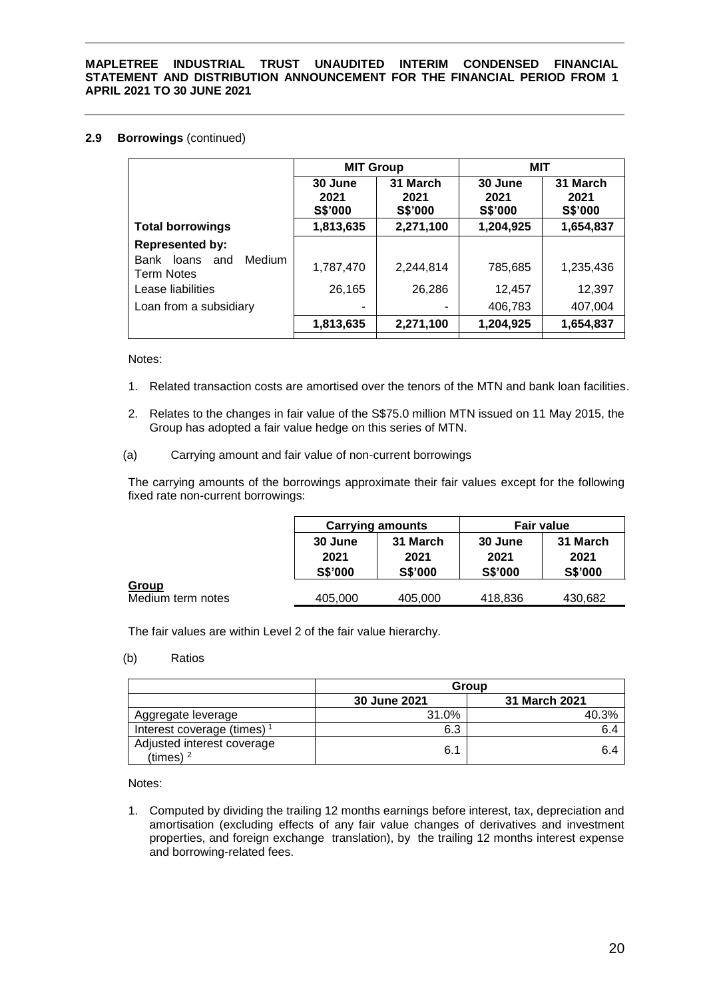# **2.9 Borrowings** (continued)

|                                                     | <b>MIT Group</b>           |                             | MIT                        |                             |
|-----------------------------------------------------|----------------------------|-----------------------------|----------------------------|-----------------------------|
|                                                     | 30 June<br>2021<br>S\$'000 | 31 March<br>2021<br>S\$'000 | 30 June<br>2021<br>S\$'000 | 31 March<br>2021<br>S\$'000 |
| <b>Total borrowings</b>                             | 1,813,635                  | 2,271,100                   | 1,204,925                  | 1,654,837                   |
| <b>Represented by:</b>                              |                            |                             |                            |                             |
| loans<br>Medium<br>Bank<br>and<br><b>Term Notes</b> | 1,787,470                  | 2,244,814                   | 785,685                    | 1,235,436                   |
| Lease liabilities                                   | 26,165                     | 26,286                      | 12,457                     | 12,397                      |
| Loan from a subsidiary                              | -                          |                             | 406,783                    | 407,004                     |
|                                                     | 1,813,635                  | 2,271,100                   | 1,204,925                  | 1,654,837                   |

#### Notes:

- 1. Related transaction costs are amortised over the tenors of the MTN and bank loan facilities.
- 2. Relates to the changes in fair value of the S\$75.0 million MTN issued on 11 May 2015, the Group has adopted a fair value hedge on this series of MTN.

### (a) Carrying amount and fair value of non-current borrowings

The carrying amounts of the borrowings approximate their fair values except for the following fixed rate non-current borrowings:

|                                   | <b>Carrying amounts</b>           |                                    |                                   | <b>Fair value</b>                  |
|-----------------------------------|-----------------------------------|------------------------------------|-----------------------------------|------------------------------------|
|                                   | 30 June<br>2021<br><b>S\$'000</b> | 31 March<br>2021<br><b>S\$'000</b> | 30 June<br>2021<br><b>S\$'000</b> | 31 March<br>2021<br><b>S\$'000</b> |
| <b>Group</b><br>Medium term notes | 405,000                           | 405,000                            | 418,836                           | 430,682                            |

The fair values are within Level 2 of the fair value hierarchy.

# (b) Ratios

|                                           | Group        |               |  |  |
|-------------------------------------------|--------------|---------------|--|--|
|                                           | 30 June 2021 | 31 March 2021 |  |  |
| Aggregate leverage                        | 31.0%        | 40.3%         |  |  |
| Interest coverage (times) <sup>1</sup>    | 6.3          | 6.4           |  |  |
| Adjusted interest coverage<br>(times) $2$ | 6.1          | 6.4           |  |  |

Notes:

1. Computed by dividing the trailing 12 months earnings before interest, tax, depreciation and amortisation (excluding effects of any fair value changes of derivatives and investment properties, and foreign exchange translation), by the trailing 12 months interest expense and borrowing-related fees.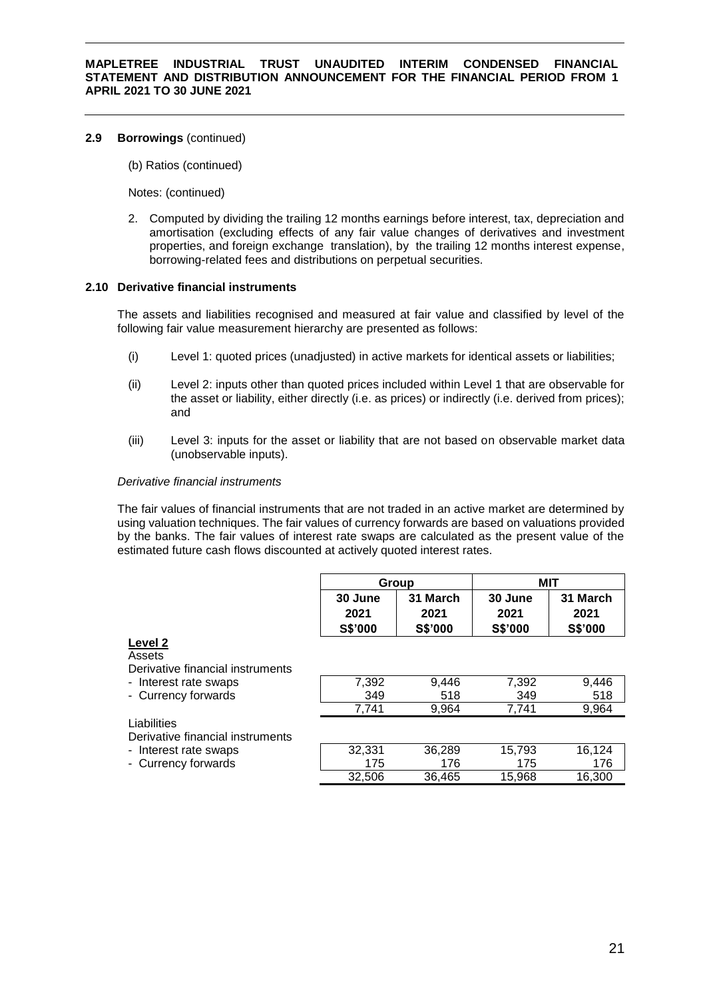# **2.9 Borrowings** (continued)

(b) Ratios (continued)

Notes: (continued)

2. Computed by dividing the trailing 12 months earnings before interest, tax, depreciation and amortisation (excluding effects of any fair value changes of derivatives and investment properties, and foreign exchange translation), by the trailing 12 months interest expense, borrowing-related fees and distributions on perpetual securities.

# **2.10 Derivative financial instruments**

The assets and liabilities recognised and measured at fair value and classified by level of the following fair value measurement hierarchy are presented as follows:

- (i) Level 1: quoted prices (unadjusted) in active markets for identical assets or liabilities;
- (ii) Level 2: inputs other than quoted prices included within Level 1 that are observable for the asset or liability, either directly (i.e. as prices) or indirectly (i.e. derived from prices); and
- (iii) Level 3: inputs for the asset or liability that are not based on observable market data (unobservable inputs).

### *Derivative financial instruments*

The fair values of financial instruments that are not traded in an active market are determined by using valuation techniques. The fair values of currency forwards are based on valuations provided by the banks. The fair values of interest rate swaps are calculated as the present value of the estimated future cash flows discounted at actively quoted interest rates.

| Group          |                | MIT            |                |  |
|----------------|----------------|----------------|----------------|--|
| 30 June        | 31 March       | 30 June        | 31 March       |  |
| 2021           | 2021           | 2021           | 2021           |  |
| <b>S\$'000</b> | <b>S\$'000</b> | <b>S\$'000</b> | <b>S\$'000</b> |  |

#### **Level 2** Assets

Derivative financial instruments

| - Interest rate swaps | 7.392 | 9.446 | 7.392 | 9.446 |
|-----------------------|-------|-------|-------|-------|
| - Currency forwards   | 349   | 518   | 349   | 518   |
|                       | 7.741 | 9,964 | 7.741 | 9,964 |

Liabilities

Derivative financial instruments

- Interest rate swaps
- Currency forwards

| 32,331 | 36,289 | 15,793 | 16,124 |
|--------|--------|--------|--------|
| 175    | 176    | 175    | 176    |
| 32.506 | 36,465 | 15,968 | 16,300 |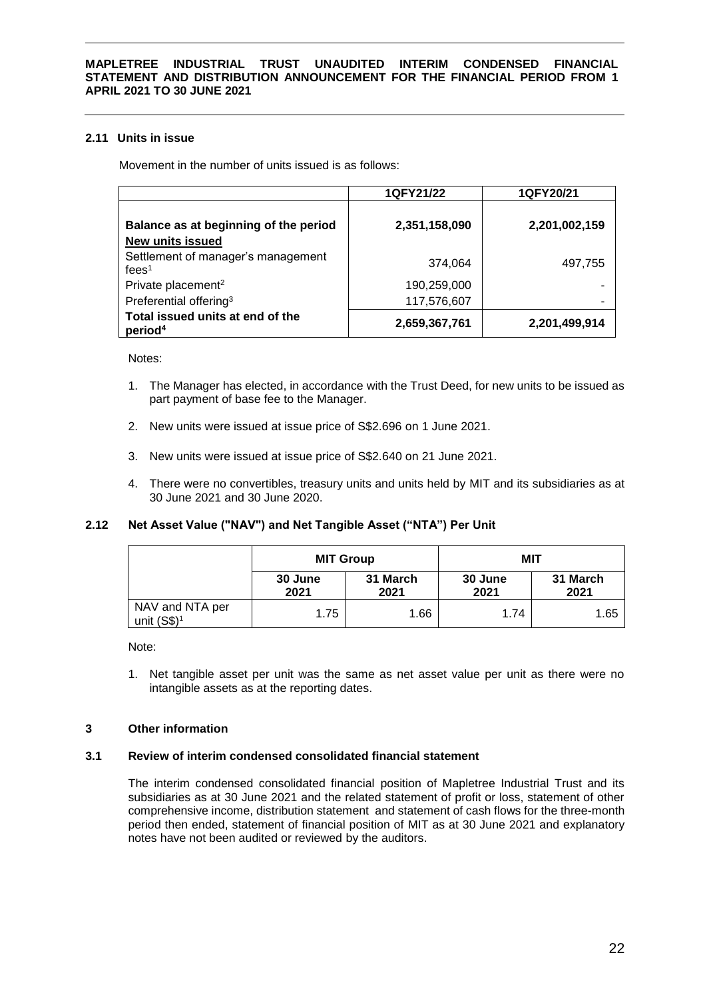# **2.11 Units in issue**

Movement in the number of units issued is as follows:

|                                                         | 1QFY21/22     | 1QFY20/21     |
|---------------------------------------------------------|---------------|---------------|
|                                                         |               |               |
| Balance as at beginning of the period                   | 2,351,158,090 | 2,201,002,159 |
| <b>New units issued</b>                                 |               |               |
| Settlement of manager's management                      | 374,064       | 497,755       |
| fees <sup>1</sup>                                       |               |               |
| Private placement <sup>2</sup>                          | 190,259,000   |               |
| Preferential offering <sup>3</sup>                      | 117,576,607   |               |
| Total issued units at end of the<br>period <sup>4</sup> | 2,659,367,761 | 2,201,499,914 |

Notes:

- 1. The Manager has elected, in accordance with the Trust Deed, for new units to be issued as part payment of base fee to the Manager.
- 2. New units were issued at issue price of S\$2.696 on 1 June 2021.
- 3. New units were issued at issue price of S\$2.640 on 21 June 2021.
- 4. There were no convertibles, treasury units and units held by MIT and its subsidiaries as at 30 June 2021 and 30 June 2020.

# **2.12 Net Asset Value ("NAV") and Net Tangible Asset ("NTA") Per Unit**

|                                  | <b>MIT Group</b> |                  | MIT             |                  |
|----------------------------------|------------------|------------------|-----------------|------------------|
|                                  | 30 June<br>2021  | 31 March<br>2021 | 30 June<br>2021 | 31 March<br>2021 |
| NAV and NTA per<br>unit $(S$)^1$ | 1.75             | 1.66             | 1.74            | 1.65             |

Note:

1. Net tangible asset per unit was the same as net asset value per unit as there were no intangible assets as at the reporting dates.

### **3 Other information**

### **3.1 Review of interim condensed consolidated financial statement**

The interim condensed consolidated financial position of Mapletree Industrial Trust and its subsidiaries as at 30 June 2021 and the related statement of profit or loss, statement of other comprehensive income, distribution statement and statement of cash flows for the three-month period then ended, statement of financial position of MIT as at 30 June 2021 and explanatory notes have not been audited or reviewed by the auditors.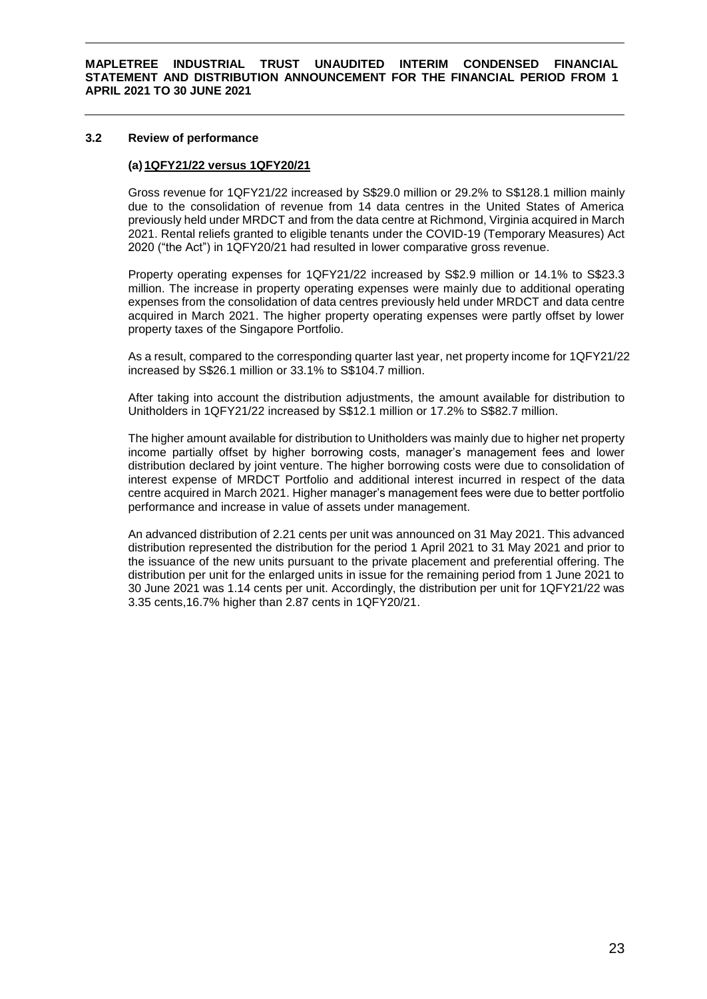### **3.2 Review of performance**

# **(a) 1QFY21/22 versus 1QFY20/21**

Gross revenue for 1QFY21/22 increased by S\$29.0 million or 29.2% to S\$128.1 million mainly due to the consolidation of revenue from 14 data centres in the United States of America previously held under MRDCT and from the data centre at Richmond, Virginia acquired in March 2021. Rental reliefs granted to eligible tenants under the COVID-19 (Temporary Measures) Act 2020 ("the Act") in 1QFY20/21 had resulted in lower comparative gross revenue.

Property operating expenses for 1QFY21/22 increased by S\$2.9 million or 14.1% to S\$23.3 million. The increase in property operating expenses were mainly due to additional operating expenses from the consolidation of data centres previously held under MRDCT and data centre acquired in March 2021. The higher property operating expenses were partly offset by lower property taxes of the Singapore Portfolio.

As a result, compared to the corresponding quarter last year, net property income for 1QFY21/22 increased by S\$26.1 million or 33.1% to S\$104.7 million.

After taking into account the distribution adjustments, the amount available for distribution to Unitholders in 1QFY21/22 increased by S\$12.1 million or 17.2% to S\$82.7 million.

The higher amount available for distribution to Unitholders was mainly due to higher net property income partially offset by higher borrowing costs, manager's management fees and lower distribution declared by joint venture. The higher borrowing costs were due to consolidation of interest expense of MRDCT Portfolio and additional interest incurred in respect of the data centre acquired in March 2021. Higher manager's management fees were due to better portfolio performance and increase in value of assets under management.

An advanced distribution of 2.21 cents per unit was announced on 31 May 2021. This advanced distribution represented the distribution for the period 1 April 2021 to 31 May 2021 and prior to the issuance of the new units pursuant to the private placement and preferential offering. The distribution per unit for the enlarged units in issue for the remaining period from 1 June 2021 to 30 June 2021 was 1.14 cents per unit. Accordingly, the distribution per unit for 1QFY21/22 was 3.35 cents,16.7% higher than 2.87 cents in 1QFY20/21.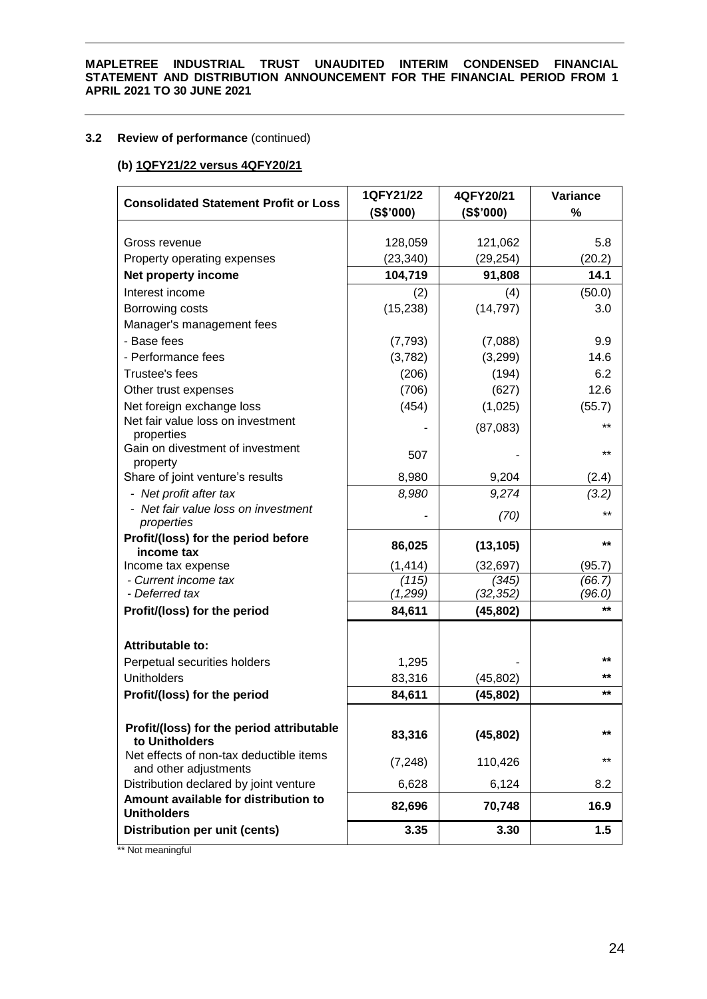# **3.2 Review of performance** (continued)

# **(b) 1QFY21/22 versus 4QFY20/21**

| <b>Consolidated Statement Profit or Loss</b>                     | 1QFY21/22         | 4QFY20/21          | Variance         |
|------------------------------------------------------------------|-------------------|--------------------|------------------|
|                                                                  | (S\$'000)         | (S\$'000)          | $\%$             |
|                                                                  |                   |                    |                  |
| Gross revenue                                                    | 128,059           | 121,062            | 5.8              |
| Property operating expenses                                      | (23, 340)         | (29, 254)          | (20.2)           |
| Net property income                                              | 104,719           | 91,808             | 14.1             |
| Interest income                                                  | (2)               | (4)                | (50.0)           |
| Borrowing costs                                                  | (15, 238)         | (14, 797)          | 3.0              |
| Manager's management fees                                        |                   |                    |                  |
| - Base fees                                                      | (7, 793)          | (7,088)            | 9.9              |
| - Performance fees                                               | (3,782)           | (3,299)            | 14.6             |
| Trustee's fees                                                   | (206)             | (194)              | 6.2              |
| Other trust expenses                                             | (706)             | (627)              | 12.6             |
| Net foreign exchange loss                                        | (454)             | (1,025)            | (55.7)           |
| Net fair value loss on investment                                |                   | (87,083)           | $***$            |
| properties                                                       |                   |                    |                  |
| Gain on divestment of investment                                 | 507               |                    | $***$            |
| property<br>Share of joint venture's results                     |                   | 9,204              |                  |
|                                                                  | 8,980             |                    | (2.4)            |
| - Net profit after tax<br>- Net fair value loss on investment    | 8,980             | 9,274              | (3.2)            |
| properties                                                       |                   | (70)               | $***$            |
| Profit/(loss) for the period before                              | 86,025            | (13, 105)          | $***$            |
| income tax                                                       |                   |                    |                  |
| Income tax expense                                               | (1, 414)          | (32, 697)          | (95.7)           |
| - Current income tax<br>- Deferred tax                           | (115)<br>(1, 299) | (345)<br>(32, 352) | (66.7)<br>(96.0) |
|                                                                  |                   |                    | $***$            |
| Profit/(loss) for the period                                     | 84,611            | (45, 802)          |                  |
| Attributable to:                                                 |                   |                    |                  |
| Perpetual securities holders                                     | 1,295             |                    | $***$            |
| <b>Unitholders</b>                                               | 83,316            | (45, 802)          | **               |
| Profit/(loss) for the period                                     | 84,611            | (45, 802)          | $***$            |
|                                                                  |                   |                    |                  |
| Profit/(loss) for the period attributable                        |                   |                    |                  |
| to Unitholders                                                   | 83,316            | (45, 802)          | $***$            |
| Net effects of non-tax deductible items<br>and other adjustments | (7, 248)          | 110,426            | **               |
| Distribution declared by joint venture                           | 6,628             | 6,124              | 8.2              |
| Amount available for distribution to                             |                   |                    |                  |
| <b>Unitholders</b>                                               | 82,696            | 70,748             | 16.9             |
| Distribution per unit (cents)                                    | 3.35              | 3.30               | 1.5              |

\*\* Not meaningful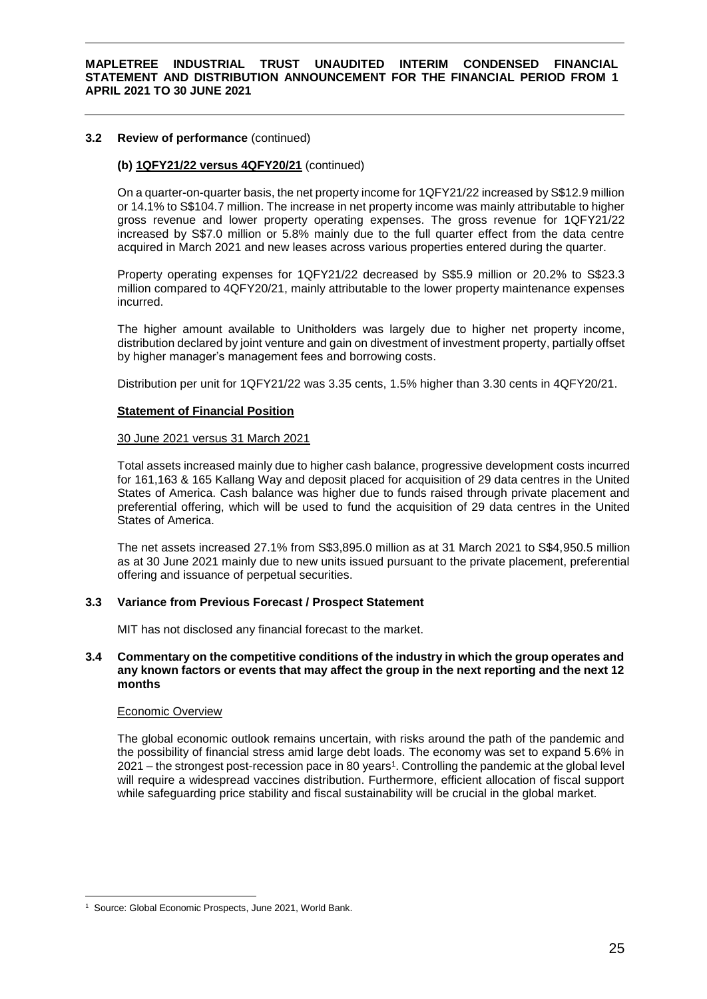# **3.2 Review of performance** (continued)

# **(b) 1QFY21/22 versus 4QFY20/21** (continued)

On a quarter-on-quarter basis, the net property income for 1QFY21/22 increased by S\$12.9 million or 14.1% to S\$104.7 million. The increase in net property income was mainly attributable to higher gross revenue and lower property operating expenses. The gross revenue for 1QFY21/22 increased by S\$7.0 million or 5.8% mainly due to the full quarter effect from the data centre acquired in March 2021 and new leases across various properties entered during the quarter.

Property operating expenses for 1QFY21/22 decreased by S\$5.9 million or 20.2% to S\$23.3 million compared to 4QFY20/21, mainly attributable to the lower property maintenance expenses incurred.

The higher amount available to Unitholders was largely due to higher net property income, distribution declared by joint venture and gain on divestment of investment property, partially offset by higher manager's management fees and borrowing costs.

Distribution per unit for 1QFY21/22 was 3.35 cents, 1.5% higher than 3.30 cents in 4QFY20/21.

# **Statement of Financial Position**

### 30 June 2021 versus 31 March 2021

Total assets increased mainly due to higher cash balance, progressive development costs incurred for 161,163 & 165 Kallang Way and deposit placed for acquisition of 29 data centres in the United States of America. Cash balance was higher due to funds raised through private placement and preferential offering, which will be used to fund the acquisition of 29 data centres in the United States of America.

The net assets increased 27.1% from S\$3,895.0 million as at 31 March 2021 to S\$4,950.5 million as at 30 June 2021 mainly due to new units issued pursuant to the private placement, preferential offering and issuance of perpetual securities.

# **3.3 Variance from Previous Forecast / Prospect Statement**

MIT has not disclosed any financial forecast to the market.

# **3.4 Commentary on the competitive conditions of the industry in which the group operates and any known factors or events that may affect the group in the next reporting and the next 12 months**

### Economic Overview

1

The global economic outlook remains uncertain, with risks around the path of the pandemic and the possibility of financial stress amid large debt loads. The economy was set to expand 5.6% in 2021 – the strongest post-recession pace in 80 years<sup>1</sup>. Controlling the pandemic at the global level will require a widespread vaccines distribution. Furthermore, efficient allocation of fiscal support while safeguarding price stability and fiscal sustainability will be crucial in the global market.

<sup>&</sup>lt;sup>1</sup> Source: Global Economic Prospects, June 2021, World Bank.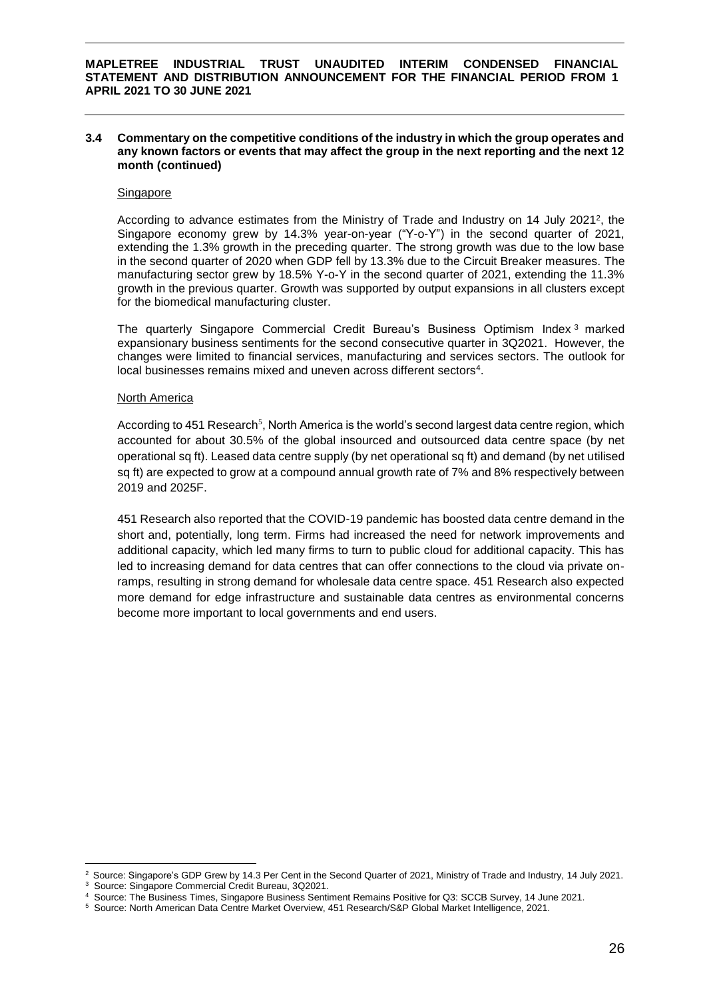# **3.4 Commentary on the competitive conditions of the industry in which the group operates and any known factors or events that may affect the group in the next reporting and the next 12 month (continued)**

#### Singapore

According to advance estimates from the Ministry of Trade and Industry on 14 July 2021<sup>2</sup>, the Singapore economy grew by 14.3% year-on-year ("Y-o-Y") in the second quarter of 2021, extending the 1.3% growth in the preceding quarter. The strong growth was due to the low base in the second quarter of 2020 when GDP fell by 13.3% due to the Circuit Breaker measures. The manufacturing sector grew by 18.5% Y-o-Y in the second quarter of 2021, extending the 11.3% growth in the previous quarter. Growth was supported by output expansions in all clusters except for the biomedical manufacturing cluster.

The quarterly Singapore Commercial Credit Bureau's Business Optimism Index <sup>3</sup> marked expansionary business sentiments for the second consecutive quarter in 3Q2021. However, the changes were limited to financial services, manufacturing and services sectors. The outlook for local businesses remains mixed and uneven across different sectors<sup>4</sup>.

#### North America

According to 451 Research<sup>5</sup>, North America is the world's second largest data centre region, which accounted for about 30.5% of the global insourced and outsourced data centre space (by net operational sq ft). Leased data centre supply (by net operational sq ft) and demand (by net utilised sq ft) are expected to grow at a compound annual growth rate of 7% and 8% respectively between 2019 and 2025F.

451 Research also reported that the COVID-19 pandemic has boosted data centre demand in the short and, potentially, long term. Firms had increased the need for network improvements and additional capacity, which led many firms to turn to public cloud for additional capacity. This has led to increasing demand for data centres that can offer connections to the cloud via private onramps, resulting in strong demand for wholesale data centre space. 451 Research also expected more demand for edge infrastructure and sustainable data centres as environmental concerns become more important to local governments and end users.

1

<sup>&</sup>lt;sup>2</sup> Source: Singapore's GDP Grew by 14.3 Per Cent in the Second Quarter of 2021, Ministry of Trade and Industry, 14 July 2021.

<sup>3</sup> Source: Singapore Commercial Credit Bureau, 3Q2021.

<sup>4</sup> Source: The Business Times, Singapore Business Sentiment Remains Positive for Q3: SCCB Survey, 14 June 2021.

<sup>5</sup> Source: North American Data Centre Market Overview, 451 Research/S&P Global Market Intelligence, 2021.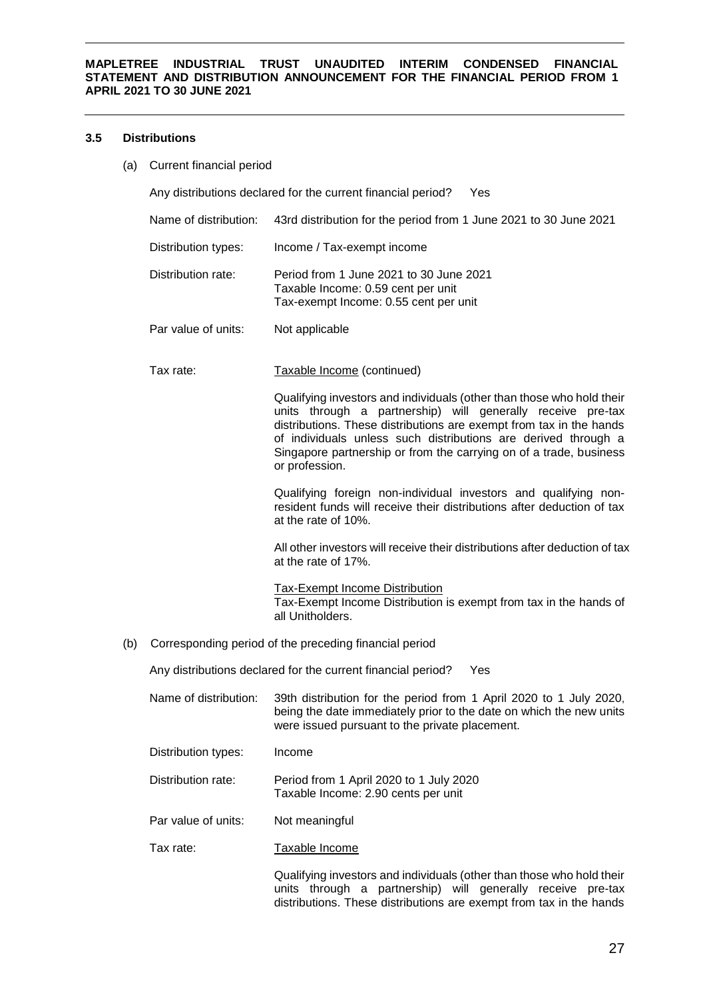# **3.5 Distributions**

(a) Current financial period

Any distributions declared for the current financial period? Yes

- Name of distribution: 43rd distribution for the period from 1 June 2021 to 30 June 2021
- Distribution types: Income / Tax-exempt income
- Distribution rate: Period from 1 June 2021 to 30 June 2021 Taxable Income: 0.59 cent per unit Tax-exempt Income: 0.55 cent per unit
- Par value of units: Not applicable
- Tax rate: Taxable Income (continued)

Qualifying investors and individuals (other than those who hold their units through a partnership) will generally receive pre-tax distributions. These distributions are exempt from tax in the hands of individuals unless such distributions are derived through a Singapore partnership or from the carrying on of a trade, business or profession.

Qualifying foreign non-individual investors and qualifying nonresident funds will receive their distributions after deduction of tax at the rate of 10%.

All other investors will receive their distributions after deduction of tax at the rate of 17%.

Tax-Exempt Income Distribution Tax-Exempt Income Distribution is exempt from tax in the hands of all Unitholders.

(b) Corresponding period of the preceding financial period

Any distributions declared for the current financial period? Yes

- Name of distribution: 39th distribution for the period from 1 April 2020 to 1 July 2020, being the date immediately prior to the date on which the new units were issued pursuant to the private placement.
- Distribution types: Income
- Distribution rate: Period from 1 April 2020 to 1 July 2020 Taxable Income: 2.90 cents per unit
- Par value of units: Not meaningful
- Tax rate: Taxable Income

Qualifying investors and individuals (other than those who hold their units through a partnership) will generally receive pre-tax distributions. These distributions are exempt from tax in the hands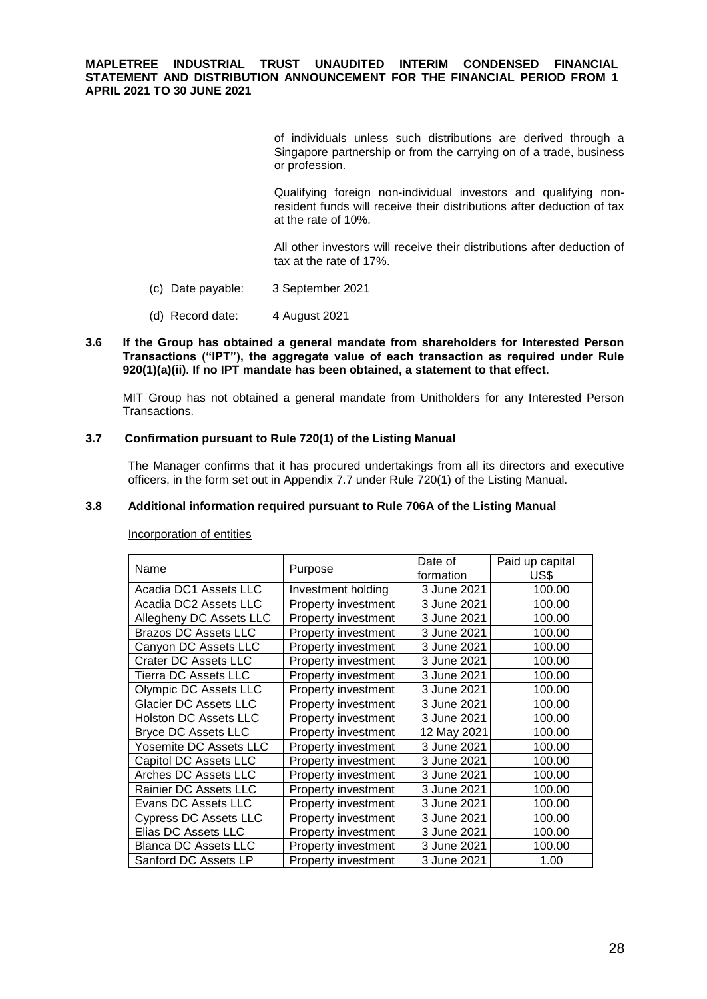of individuals unless such distributions are derived through a Singapore partnership or from the carrying on of a trade, business or profession.

Qualifying foreign non-individual investors and qualifying nonresident funds will receive their distributions after deduction of tax at the rate of 10%.

All other investors will receive their distributions after deduction of tax at the rate of 17%.

- (c) Date payable: 3 September 2021
- (d) Record date: 4 August 2021

### **3.6 If the Group has obtained a general mandate from shareholders for Interested Person Transactions ("IPT"), the aggregate value of each transaction as required under Rule 920(1)(a)(ii). If no IPT mandate has been obtained, a statement to that effect.**

MIT Group has not obtained a general mandate from Unitholders for any Interested Person Transactions.

# **3.7 Confirmation pursuant to Rule 720(1) of the Listing Manual**

The Manager confirms that it has procured undertakings from all its directors and executive officers, in the form set out in Appendix 7.7 under Rule 720(1) of the Listing Manual.

# **3.8 Additional information required pursuant to Rule 706A of the Listing Manual**

|                              |                            | Date of     | Paid up capital |
|------------------------------|----------------------------|-------------|-----------------|
| Name                         | Purpose                    | formation   | US\$            |
| Acadia DC1 Assets LLC        | Investment holding         | 3 June 2021 | 100.00          |
| Acadia DC2 Assets LLC        | Property investment        | 3 June 2021 | 100.00          |
| Allegheny DC Assets LLC      | Property investment        | 3 June 2021 | 100.00          |
| <b>Brazos DC Assets LLC</b>  | Property investment        | 3 June 2021 | 100.00          |
| Canyon DC Assets LLC         | Property investment        | 3 June 2021 | 100.00          |
| <b>Crater DC Assets LLC</b>  | Property investment        | 3 June 2021 | 100.00          |
| <b>Tierra DC Assets LLC</b>  | Property investment        | 3 June 2021 | 100.00          |
| Olympic DC Assets LLC        | Property investment        | 3 June 2021 | 100.00          |
| <b>Glacier DC Assets LLC</b> | Property investment        | 3 June 2021 | 100.00          |
| <b>Holston DC Assets LLC</b> | Property investment        | 3 June 2021 | 100.00          |
| Bryce DC Assets LLC          | Property investment        | 12 May 2021 | 100.00          |
| Yosemite DC Assets LLC       | Property investment        | 3 June 2021 | 100.00          |
| Capitol DC Assets LLC        | Property investment        | 3 June 2021 | 100.00          |
| Arches DC Assets LLC         | Property investment        | 3 June 2021 | 100.00          |
| Rainier DC Assets LLC        | Property investment        | 3 June 2021 | 100.00          |
| Evans DC Assets LLC          | Property investment        | 3 June 2021 | 100.00          |
| <b>Cypress DC Assets LLC</b> | Property investment        | 3 June 2021 | 100.00          |
| Elias DC Assets LLC          | Property investment        | 3 June 2021 | 100.00          |
| <b>Blanca DC Assets LLC</b>  | Property investment        | 3 June 2021 | 100.00          |
| Sanford DC Assets LP         | <b>Property investment</b> | 3 June 2021 | 1.00            |

Incorporation of entities